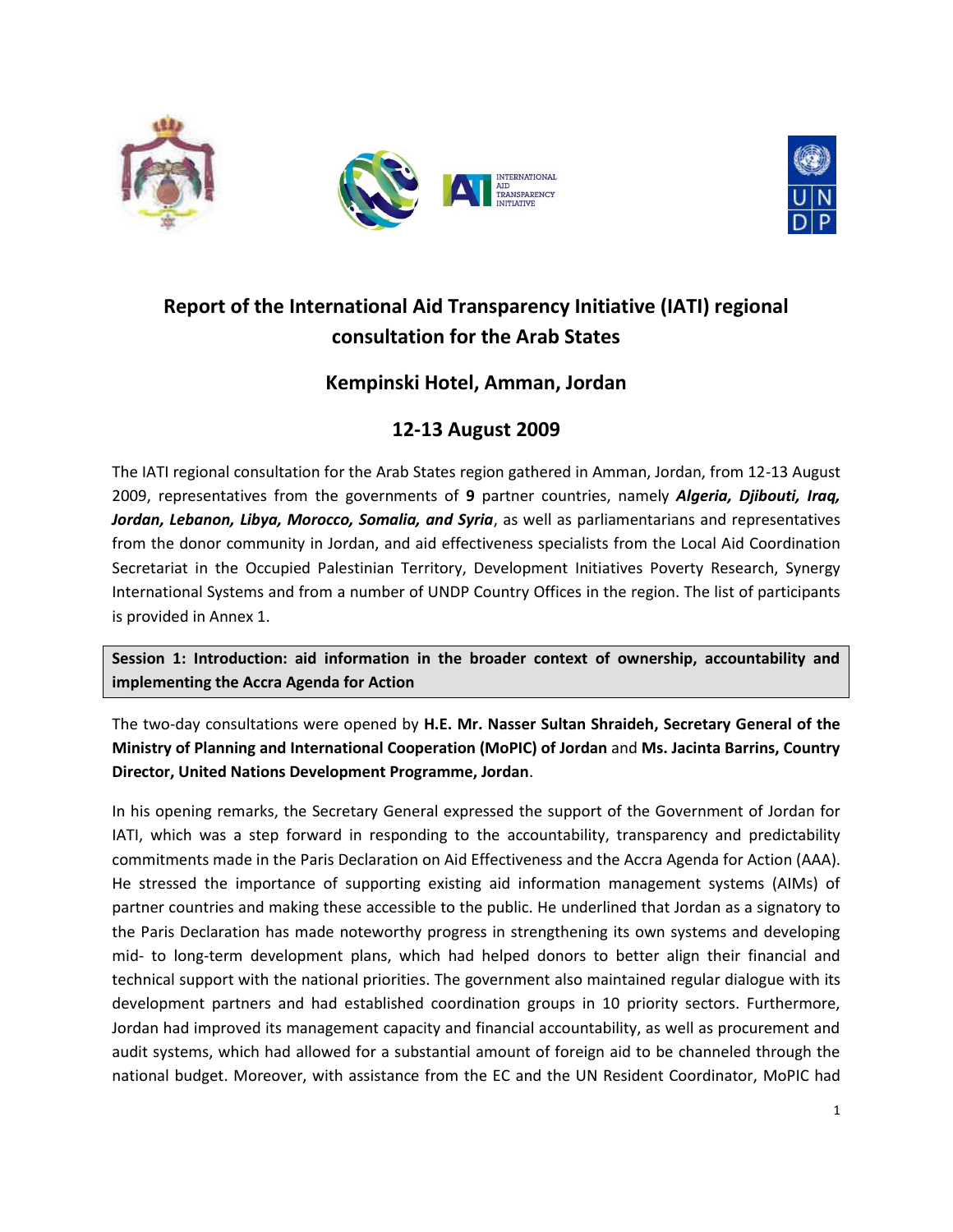



# **Report of the International Aid Transparency Initiative (IATI) regional consultation for the Arab States**

# **Kempinski Hotel, Amman, Jordan**

# **12-13 August 2009**

The IATI regional consultation for the Arab States region gathered in Amman, Jordan, from 12-13 August 2009, representatives from the governments of **9** partner countries, namely *Algeria, Djibouti, Iraq, Jordan, Lebanon, Libya, Morocco, Somalia, and Syria*, as well as parliamentarians and representatives from the donor community in Jordan, and aid effectiveness specialists from the Local Aid Coordination Secretariat in the Occupied Palestinian Territory, Development Initiatives Poverty Research, Synergy International Systems and from a number of UNDP Country Offices in the region. The list of participants is provided in Annex 1.

**Session 1: Introduction: aid information in the broader context of ownership, accountability and implementing the Accra Agenda for Action**

The two-day consultations were opened by **H.E. Mr. Nasser Sultan Shraideh, Secretary General of the Ministry of Planning and International Cooperation (MoPIC) of Jordan** and **Ms. Jacinta Barrins, Country Director, United Nations Development Programme, Jordan**.

In his opening remarks, the Secretary General expressed the support of the Government of Jordan for IATI, which was a step forward in responding to the accountability, transparency and predictability commitments made in the Paris Declaration on Aid Effectiveness and the Accra Agenda for Action (AAA). He stressed the importance of supporting existing aid information management systems (AIMs) of partner countries and making these accessible to the public. He underlined that Jordan as a signatory to the Paris Declaration has made noteworthy progress in strengthening its own systems and developing mid- to long-term development plans, which had helped donors to better align their financial and technical support with the national priorities. The government also maintained regular dialogue with its development partners and had established coordination groups in 10 priority sectors. Furthermore, Jordan had improved its management capacity and financial accountability, as well as procurement and audit systems, which had allowed for a substantial amount of foreign aid to be channeled through the national budget. Moreover, with assistance from the EC and the UN Resident Coordinator, MoPIC had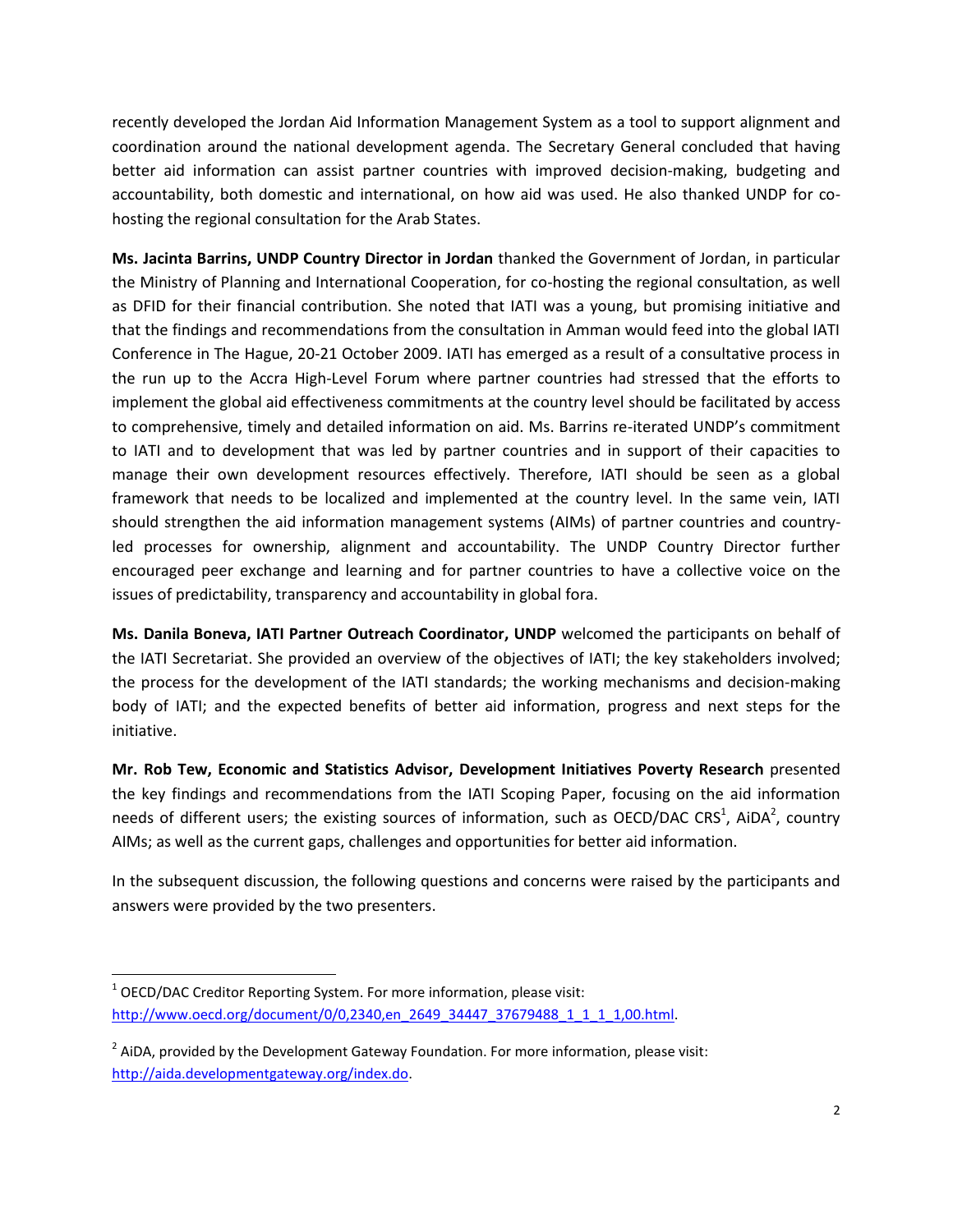recently developed the Jordan Aid Information Management System as a tool to support alignment and coordination around the national development agenda. The Secretary General concluded that having better aid information can assist partner countries with improved decision-making, budgeting and accountability, both domestic and international, on how aid was used. He also thanked UNDP for cohosting the regional consultation for the Arab States.

**Ms. Jacinta Barrins, UNDP Country Director in Jordan** thanked the Government of Jordan, in particular the Ministry of Planning and International Cooperation, for co-hosting the regional consultation, as well as DFID for their financial contribution. She noted that IATI was a young, but promising initiative and that the findings and recommendations from the consultation in Amman would feed into the global IATI Conference in The Hague, 20-21 October 2009. IATI has emerged as a result of a consultative process in the run up to the Accra High-Level Forum where partner countries had stressed that the efforts to implement the global aid effectiveness commitments at the country level should be facilitated by access to comprehensive, timely and detailed information on aid. Ms. Barrins re-iterated UNDP's commitment to IATI and to development that was led by partner countries and in support of their capacities to manage their own development resources effectively. Therefore, IATI should be seen as a global framework that needs to be localized and implemented at the country level. In the same vein, IATI should strengthen the aid information management systems (AIMs) of partner countries and countryled processes for ownership, alignment and accountability. The UNDP Country Director further encouraged peer exchange and learning and for partner countries to have a collective voice on the issues of predictability, transparency and accountability in global fora.

**Ms. Danila Boneva, IATI Partner Outreach Coordinator, UNDP** welcomed the participants on behalf of the IATI Secretariat. She provided an overview of the objectives of IATI; the key stakeholders involved; the process for the development of the IATI standards; the working mechanisms and decision-making body of IATI; and the expected benefits of better aid information, progress and next steps for the initiative.

**Mr. Rob Tew, Economic and Statistics Advisor, Development Initiatives Poverty Research** presented the key findings and recommendations from the IATI Scoping Paper, focusing on the aid information needs of different users; the existing sources of information, such as OECD/DAC CRS<sup>1</sup>, AiDA<sup>2</sup>, country AIMs; as well as the current gaps, challenges and opportunities for better aid information.

In the subsequent discussion, the following questions and concerns were raised by the participants and answers were provided by the two presenters.

 $\overline{a}$ 

 $1$  OECD/DAC Creditor Reporting System. For more information, please visit: [http://www.oecd.org/document/0/0,2340,en\\_2649\\_34447\\_37679488\\_1\\_1\\_1\\_1,00.html.](http://www.oecd.org/document/0/0,2340,en_2649_34447_37679488_1_1_1_1,00.html)

 $2$  AiDA, provided by the Development Gateway Foundation. For more information, please visit: [http://aida.developmentgateway.org/index.do.](http://aida.developmentgateway.org/index.do)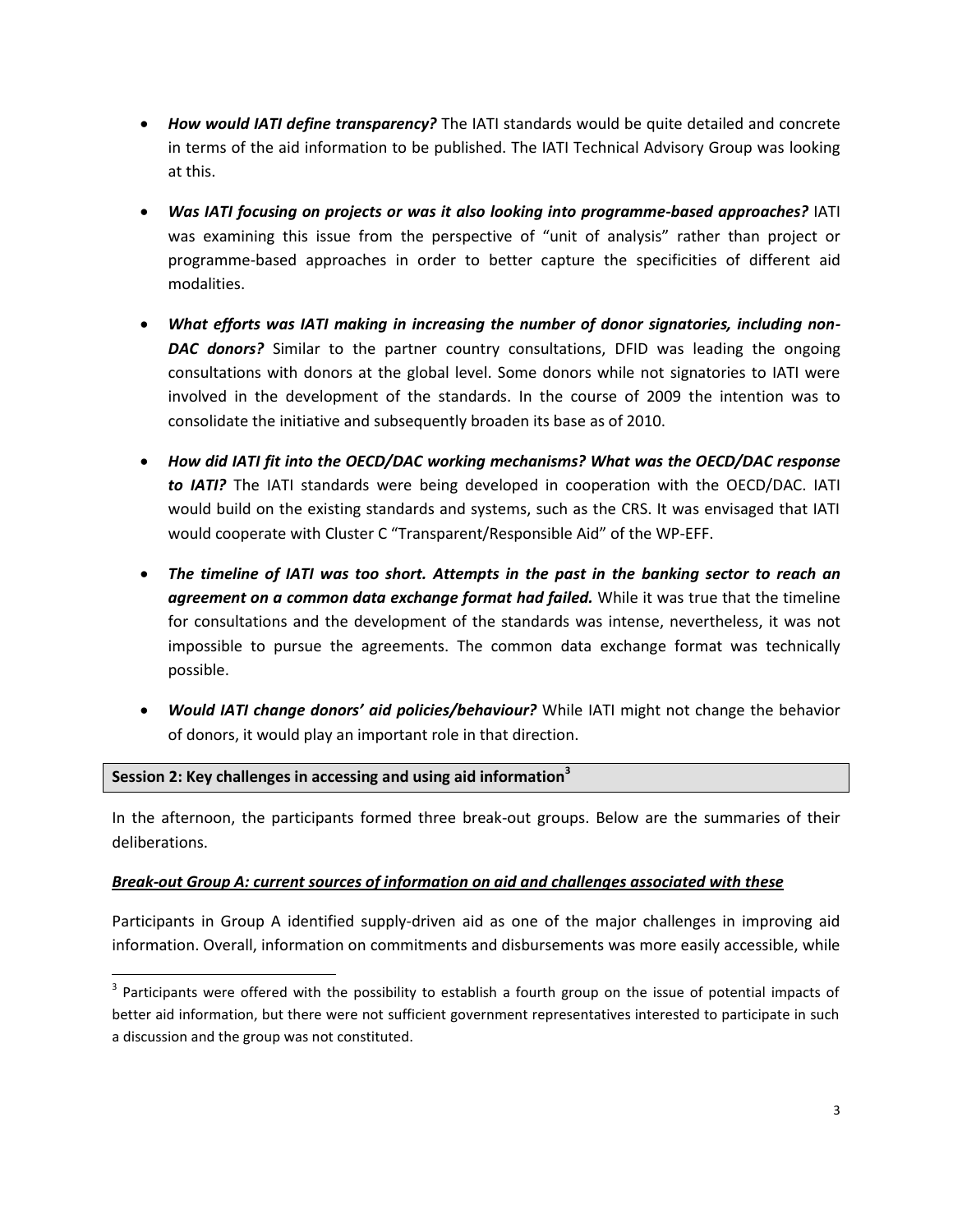- *How would IATI define transparency?* The IATI standards would be quite detailed and concrete in terms of the aid information to be published. The IATI Technical Advisory Group was looking at this.
- *Was IATI focusing on projects or was it also looking into programme-based approaches?* IATI was examining this issue from the perspective of "unit of analysis" rather than project or programme-based approaches in order to better capture the specificities of different aid modalities.
- *What efforts was IATI making in increasing the number of donor signatories, including non-DAC donors?* Similar to the partner country consultations, DFID was leading the ongoing consultations with donors at the global level. Some donors while not signatories to IATI were involved in the development of the standards. In the course of 2009 the intention was to consolidate the initiative and subsequently broaden its base as of 2010.
- *How did IATI fit into the OECD/DAC working mechanisms? What was the OECD/DAC response to IATI?* The IATI standards were being developed in cooperation with the OECD/DAC. IATI would build on the existing standards and systems, such as the CRS. It was envisaged that IATI would cooperate with Cluster C "Transparent/Responsible Aid" of the WP-EFF.
- *The timeline of IATI was too short. Attempts in the past in the banking sector to reach an agreement on a common data exchange format had failed.* While it was true that the timeline for consultations and the development of the standards was intense, nevertheless, it was not impossible to pursue the agreements. The common data exchange format was technically possible.
- *Would IATI change donors' aid policies/behaviour?* While IATI might not change the behavior of donors, it would play an important role in that direction.

#### **Session 2: Key challenges in accessing and using aid information<sup>3</sup>**

 $\overline{a}$ 

In the afternoon, the participants formed three break-out groups. Below are the summaries of their deliberations.

#### *Break-out Group A: current sources of information on aid and challenges associated with these*

Participants in Group A identified supply-driven aid as one of the major challenges in improving aid information. Overall, information on commitments and disbursements was more easily accessible, while

 $3$  Participants were offered with the possibility to establish a fourth group on the issue of potential impacts of better aid information, but there were not sufficient government representatives interested to participate in such a discussion and the group was not constituted.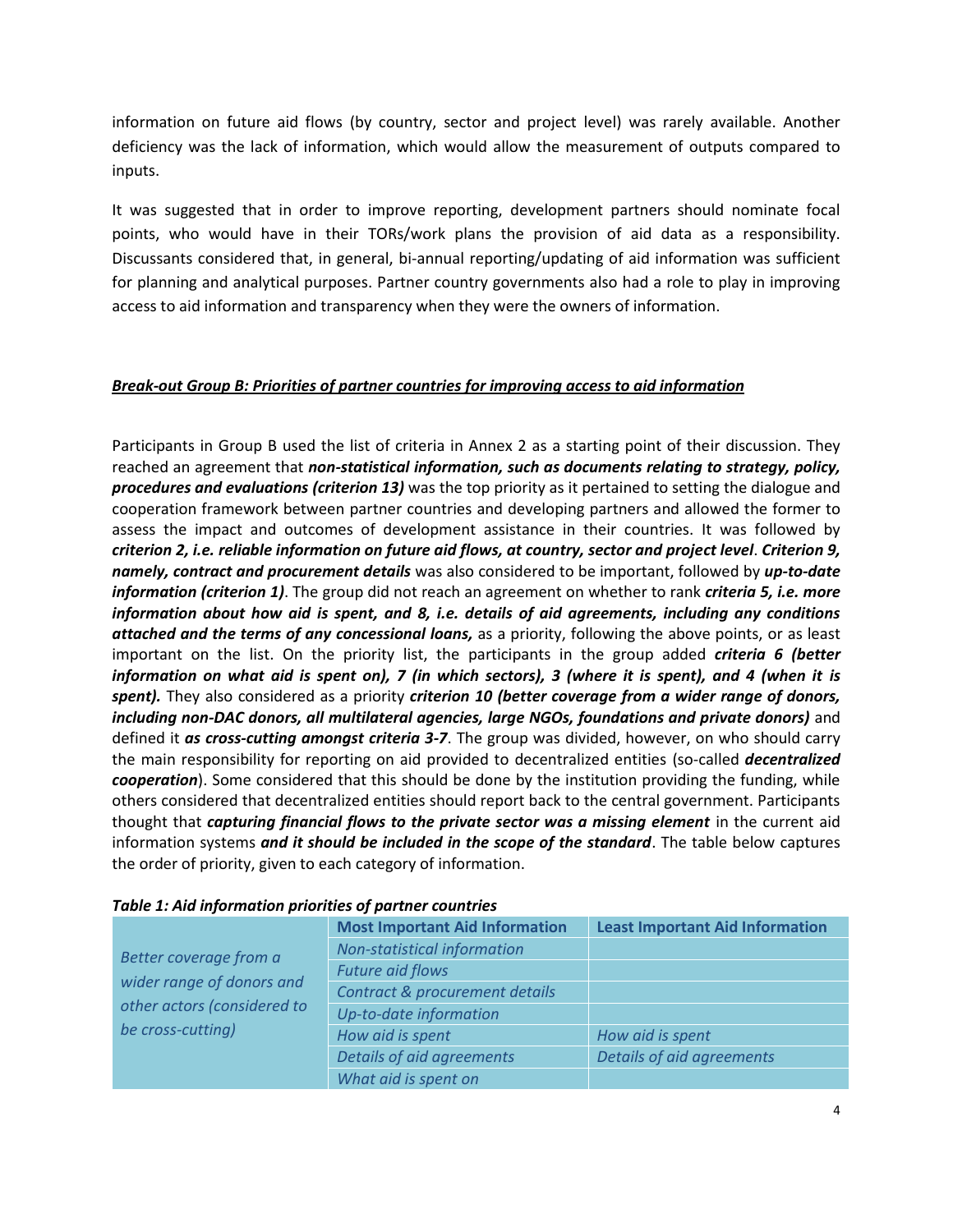information on future aid flows (by country, sector and project level) was rarely available. Another deficiency was the lack of information, which would allow the measurement of outputs compared to inputs.

It was suggested that in order to improve reporting, development partners should nominate focal points, who would have in their TORs/work plans the provision of aid data as a responsibility. Discussants considered that, in general, bi-annual reporting/updating of aid information was sufficient for planning and analytical purposes. Partner country governments also had a role to play in improving access to aid information and transparency when they were the owners of information.

### *Break-out Group B: Priorities of partner countries for improving access to aid information*

Participants in Group B used the list of criteria in Annex 2 as a starting point of their discussion. They reached an agreement that *non-statistical information, such as documents relating to strategy, policy, procedures and evaluations (criterion 13)* was the top priority as it pertained to setting the dialogue and cooperation framework between partner countries and developing partners and allowed the former to assess the impact and outcomes of development assistance in their countries. It was followed by *criterion 2, i.e. reliable information on future aid flows, at country, sector and project level*. *Criterion 9, namely, contract and procurement details* was also considered to be important, followed by *up-to-date information (criterion 1)*. The group did not reach an agreement on whether to rank *criteria 5, i.e. more information about how aid is spent, and 8, i.e. details of aid agreements, including any conditions attached and the terms of any concessional loans,* as a priority, following the above points, or as least important on the list. On the priority list, the participants in the group added *criteria 6 (better information on what aid is spent on), 7 (in which sectors), 3 (where it is spent), and 4 (when it is spent).* They also considered as a priority *criterion 10 (better coverage from a wider range of donors, including non-DAC donors, all multilateral agencies, large NGOs, foundations and private donors)* and defined it *as cross-cutting amongst criteria 3-7*. The group was divided, however, on who should carry the main responsibility for reporting on aid provided to decentralized entities (so-called *decentralized cooperation*). Some considered that this should be done by the institution providing the funding, while others considered that decentralized entities should report back to the central government. Participants thought that *capturing financial flows to the private sector was a missing element* in the current aid information systems *and it should be included in the scope of the standard*. The table below captures the order of priority, given to each category of information.

|                                                                               | <b>Most Important Aid Information</b> | <b>Least Important Aid Information</b> |
|-------------------------------------------------------------------------------|---------------------------------------|----------------------------------------|
|                                                                               |                                       |                                        |
| Better coverage from a                                                        | <b>Non-statistical information</b>    |                                        |
| wider range of donors and<br>other actors (considered to<br>be cross-cutting) | <b>Future aid flows</b>               |                                        |
|                                                                               | Contract & procurement details        |                                        |
|                                                                               | Up-to-date information                |                                        |
|                                                                               | How aid is spent                      | How aid is spent                       |
|                                                                               | Details of aid agreements             | Details of aid agreements              |
|                                                                               | What aid is spent on                  |                                        |

#### *Table 1: Aid information priorities of partner countries*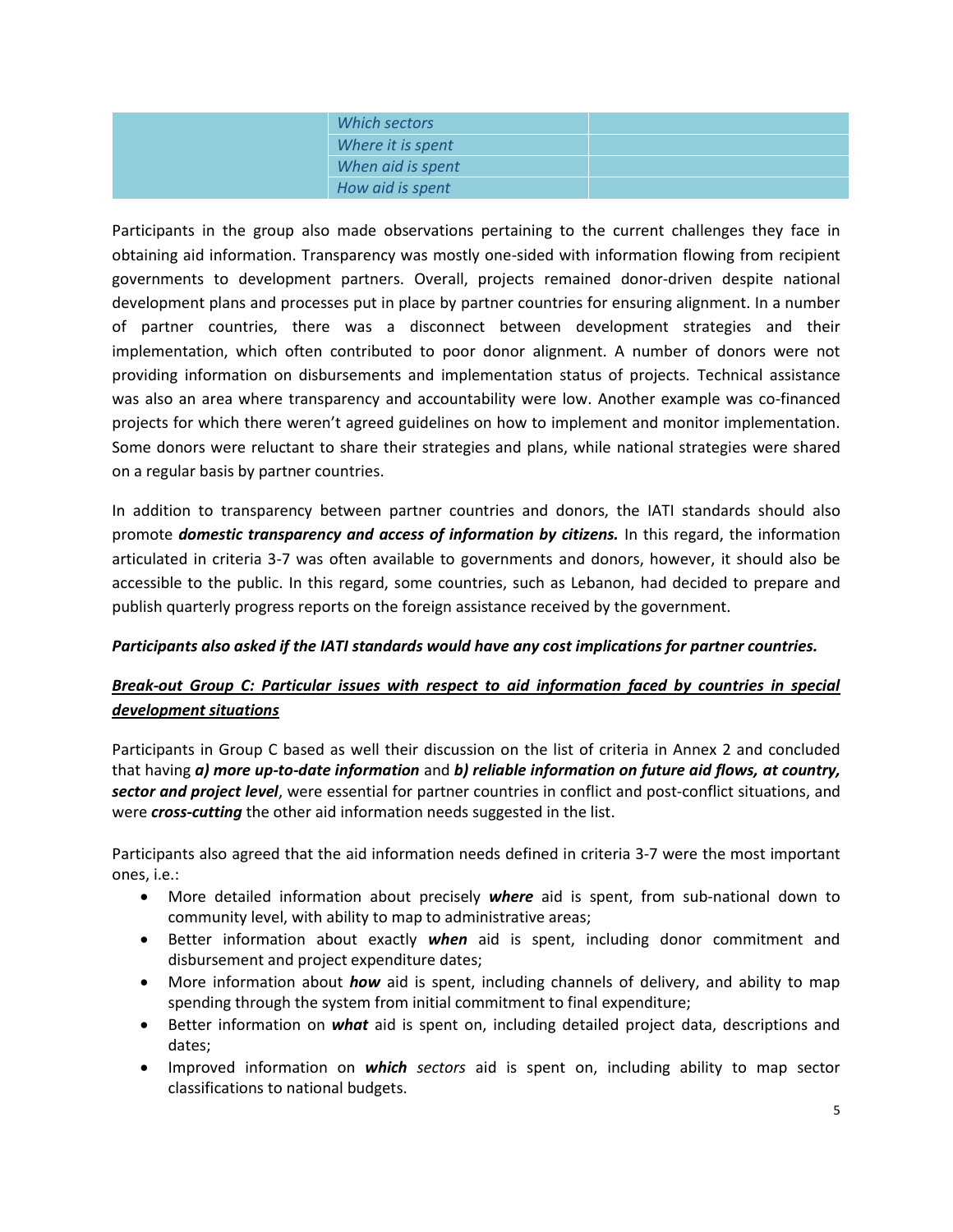| Which sectors     |  |
|-------------------|--|
| Where it is spent |  |
| When aid is spent |  |
| How aid is spent  |  |

Participants in the group also made observations pertaining to the current challenges they face in obtaining aid information. Transparency was mostly one-sided with information flowing from recipient governments to development partners. Overall, projects remained donor-driven despite national development plans and processes put in place by partner countries for ensuring alignment. In a number of partner countries, there was a disconnect between development strategies and their implementation, which often contributed to poor donor alignment. A number of donors were not providing information on disbursements and implementation status of projects. Technical assistance was also an area where transparency and accountability were low. Another example was co-financed projects for which there weren't agreed guidelines on how to implement and monitor implementation. Some donors were reluctant to share their strategies and plans, while national strategies were shared on a regular basis by partner countries.

In addition to transparency between partner countries and donors, the IATI standards should also promote *domestic transparency and access of information by citizens.* In this regard, the information articulated in criteria 3-7 was often available to governments and donors, however, it should also be accessible to the public. In this regard, some countries, such as Lebanon, had decided to prepare and publish quarterly progress reports on the foreign assistance received by the government.

### *Participants also asked if the IATI standards would have any cost implications for partner countries.*

### *Break-out Group C: Particular issues with respect to aid information faced by countries in special development situations*

Participants in Group C based as well their discussion on the list of criteria in Annex 2 and concluded that having *a) more up-to-date information* and *b) reliable information on future aid flows, at country, sector and project level*, were essential for partner countries in conflict and post-conflict situations, and were *cross-cutting* the other aid information needs suggested in the list.

Participants also agreed that the aid information needs defined in criteria 3-7 were the most important ones, i.e.:

- More detailed information about precisely *where* aid is spent, from sub-national down to community level, with ability to map to administrative areas;
- Better information about exactly *when* aid is spent, including donor commitment and disbursement and project expenditure dates;
- More information about *how* aid is spent, including channels of delivery, and ability to map spending through the system from initial commitment to final expenditure;
- Better information on *what* aid is spent on, including detailed project data, descriptions and dates;
- Improved information on *which sectors* aid is spent on, including ability to map sector classifications to national budgets.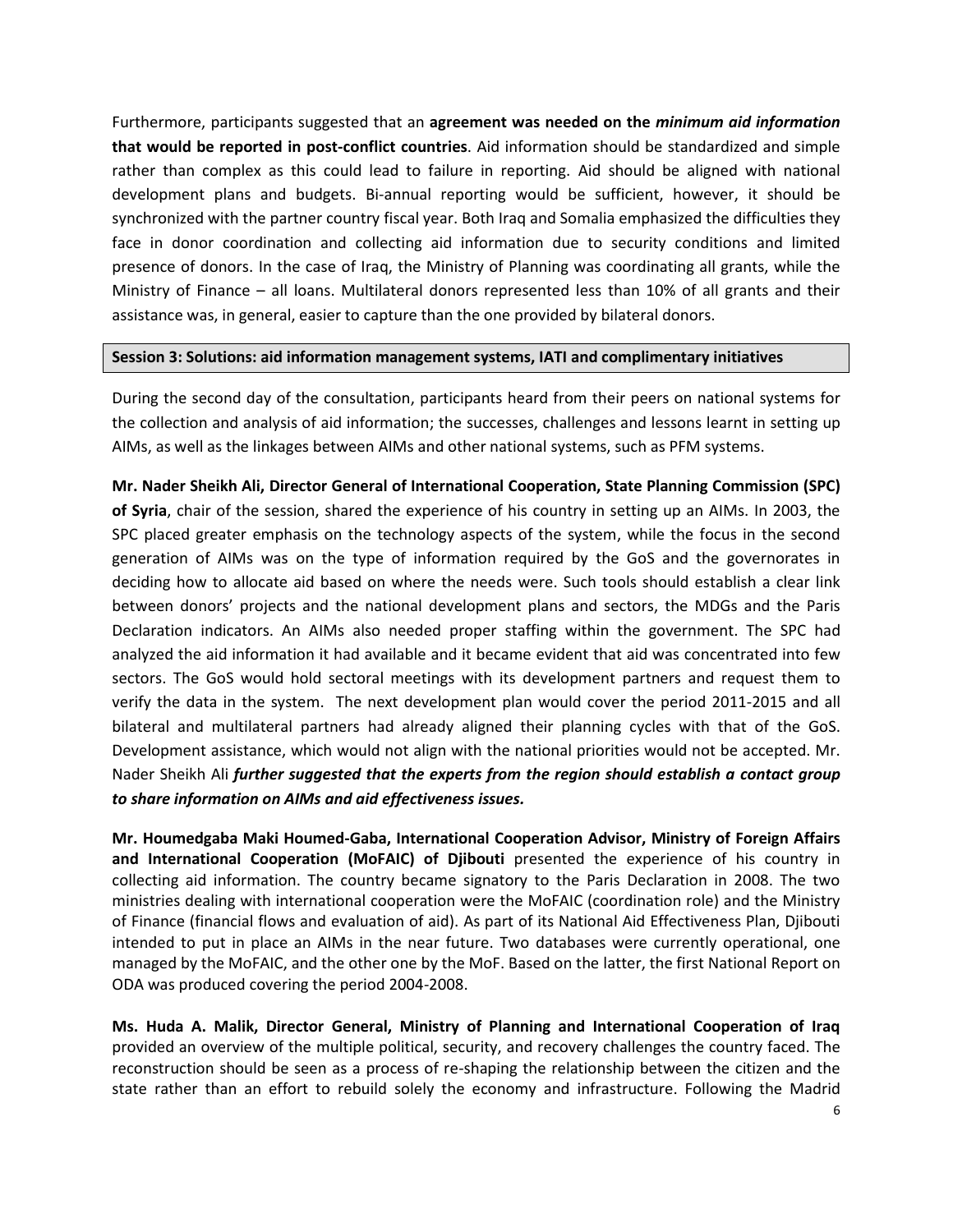Furthermore, participants suggested that an **agreement was needed on the** *minimum aid information* **that would be reported in post-conflict countries**. Aid information should be standardized and simple rather than complex as this could lead to failure in reporting. Aid should be aligned with national development plans and budgets. Bi-annual reporting would be sufficient, however, it should be synchronized with the partner country fiscal year. Both Iraq and Somalia emphasized the difficulties they face in donor coordination and collecting aid information due to security conditions and limited presence of donors. In the case of Iraq, the Ministry of Planning was coordinating all grants, while the Ministry of Finance – all loans. Multilateral donors represented less than 10% of all grants and their assistance was, in general, easier to capture than the one provided by bilateral donors.

#### **Session 3: Solutions: aid information management systems, IATI and complimentary initiatives**

During the second day of the consultation, participants heard from their peers on national systems for the collection and analysis of aid information; the successes, challenges and lessons learnt in setting up AIMs, as well as the linkages between AIMs and other national systems, such as PFM systems.

**Mr. Nader Sheikh Ali, Director General of International Cooperation, State Planning Commission (SPC) of Syria**, chair of the session, shared the experience of his country in setting up an AIMs. In 2003, the SPC placed greater emphasis on the technology aspects of the system, while the focus in the second generation of AIMs was on the type of information required by the GoS and the governorates in deciding how to allocate aid based on where the needs were. Such tools should establish a clear link between donors' projects and the national development plans and sectors, the MDGs and the Paris Declaration indicators. An AIMs also needed proper staffing within the government. The SPC had analyzed the aid information it had available and it became evident that aid was concentrated into few sectors. The GoS would hold sectoral meetings with its development partners and request them to verify the data in the system. The next development plan would cover the period 2011-2015 and all bilateral and multilateral partners had already aligned their planning cycles with that of the GoS. Development assistance, which would not align with the national priorities would not be accepted. Mr. Nader Sheikh Ali *further suggested that the experts from the region should establish a contact group to share information on AIMs and aid effectiveness issues.*

**Mr. Houmedgaba Maki Houmed-Gaba, International Cooperation Advisor, Ministry of Foreign Affairs and International Cooperation (MoFAIC) of Djibouti** presented the experience of his country in collecting aid information. The country became signatory to the Paris Declaration in 2008. The two ministries dealing with international cooperation were the MoFAIC (coordination role) and the Ministry of Finance (financial flows and evaluation of aid). As part of its National Aid Effectiveness Plan, Djibouti intended to put in place an AIMs in the near future. Two databases were currently operational, one managed by the MoFAIC, and the other one by the MoF. Based on the latter, the first National Report on ODA was produced covering the period 2004-2008.

**Ms. Huda A. Malik, Director General, Ministry of Planning and International Cooperation of Iraq** provided an overview of the multiple political, security, and recovery challenges the country faced. The reconstruction should be seen as a process of re-shaping the relationship between the citizen and the state rather than an effort to rebuild solely the economy and infrastructure. Following the Madrid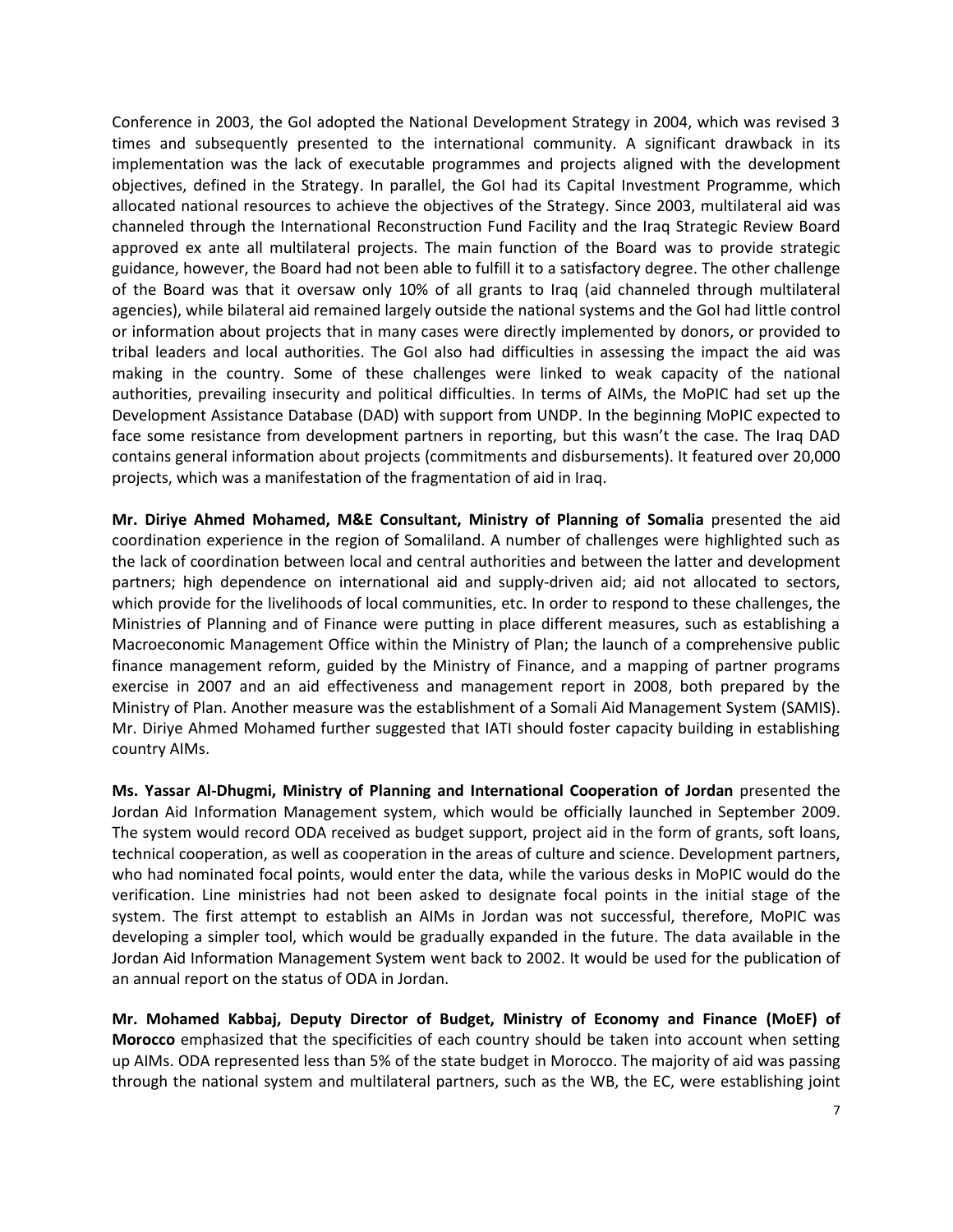Conference in 2003, the GoI adopted the National Development Strategy in 2004, which was revised 3 times and subsequently presented to the international community. A significant drawback in its implementation was the lack of executable programmes and projects aligned with the development objectives, defined in the Strategy. In parallel, the GoI had its Capital Investment Programme, which allocated national resources to achieve the objectives of the Strategy. Since 2003, multilateral aid was channeled through the International Reconstruction Fund Facility and the Iraq Strategic Review Board approved ex ante all multilateral projects. The main function of the Board was to provide strategic guidance, however, the Board had not been able to fulfill it to a satisfactory degree. The other challenge of the Board was that it oversaw only 10% of all grants to Iraq (aid channeled through multilateral agencies), while bilateral aid remained largely outside the national systems and the GoI had little control or information about projects that in many cases were directly implemented by donors, or provided to tribal leaders and local authorities. The GoI also had difficulties in assessing the impact the aid was making in the country. Some of these challenges were linked to weak capacity of the national authorities, prevailing insecurity and political difficulties. In terms of AIMs, the MoPIC had set up the Development Assistance Database (DAD) with support from UNDP. In the beginning MoPIC expected to face some resistance from development partners in reporting, but this wasn't the case. The Iraq DAD contains general information about projects (commitments and disbursements). It featured over 20,000 projects, which was a manifestation of the fragmentation of aid in Iraq.

**Mr. Diriye Ahmed Mohamed, M&E Consultant, Ministry of Planning of Somalia** presented the aid coordination experience in the region of Somaliland. A number of challenges were highlighted such as the lack of coordination between local and central authorities and between the latter and development partners; high dependence on international aid and supply-driven aid; aid not allocated to sectors, which provide for the livelihoods of local communities, etc. In order to respond to these challenges, the Ministries of Planning and of Finance were putting in place different measures, such as establishing a Macroeconomic Management Office within the Ministry of Plan; the launch of a comprehensive public finance management reform, guided by the Ministry of Finance, and a mapping of partner programs exercise in 2007 and an aid effectiveness and management report in 2008, both prepared by the Ministry of Plan. Another measure was the establishment of a Somali Aid Management System (SAMIS). Mr. Diriye Ahmed Mohamed further suggested that IATI should foster capacity building in establishing country AIMs.

**Ms. Yassar Al-Dhugmi, Ministry of Planning and International Cooperation of Jordan** presented the Jordan Aid Information Management system, which would be officially launched in September 2009. The system would record ODA received as budget support, project aid in the form of grants, soft loans, technical cooperation, as well as cooperation in the areas of culture and science. Development partners, who had nominated focal points, would enter the data, while the various desks in MoPIC would do the verification. Line ministries had not been asked to designate focal points in the initial stage of the system. The first attempt to establish an AIMs in Jordan was not successful, therefore, MoPIC was developing a simpler tool, which would be gradually expanded in the future. The data available in the Jordan Aid Information Management System went back to 2002. It would be used for the publication of an annual report on the status of ODA in Jordan.

**Mr. Mohamed Kabbaj, Deputy Director of Budget, Ministry of Economy and Finance (MoEF) of Morocco** emphasized that the specificities of each country should be taken into account when setting up AIMs. ODA represented less than 5% of the state budget in Morocco. The majority of aid was passing through the national system and multilateral partners, such as the WB, the EC, were establishing joint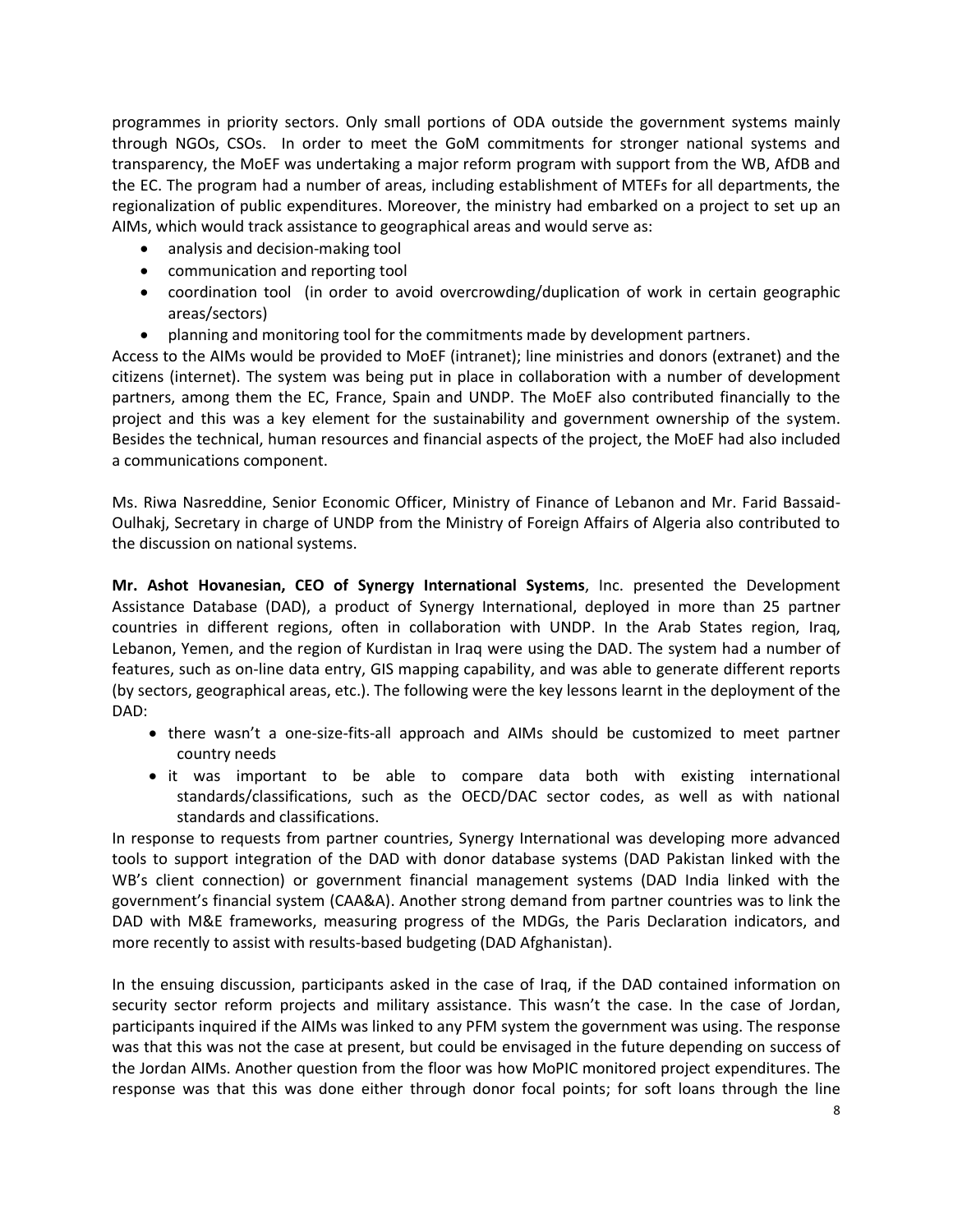programmes in priority sectors. Only small portions of ODA outside the government systems mainly through NGOs, CSOs. In order to meet the GoM commitments for stronger national systems and transparency, the MoEF was undertaking a major reform program with support from the WB, AfDB and the EC. The program had a number of areas, including establishment of MTEFs for all departments, the regionalization of public expenditures. Moreover, the ministry had embarked on a project to set up an AIMs, which would track assistance to geographical areas and would serve as:

- analysis and decision-making tool
- communication and reporting tool
- coordination tool (in order to avoid overcrowding/duplication of work in certain geographic areas/sectors)
- planning and monitoring tool for the commitments made by development partners.

Access to the AIMs would be provided to MoEF (intranet); line ministries and donors (extranet) and the citizens (internet). The system was being put in place in collaboration with a number of development partners, among them the EC, France, Spain and UNDP. The MoEF also contributed financially to the project and this was a key element for the sustainability and government ownership of the system. Besides the technical, human resources and financial aspects of the project, the MoEF had also included a communications component.

Ms. Riwa Nasreddine, Senior Economic Officer, Ministry of Finance of Lebanon and Mr. Farid Bassaid-Oulhakj, Secretary in charge of UNDP from the Ministry of Foreign Affairs of Algeria also contributed to the discussion on national systems.

**Mr. Ashot Hovanesian, CEO of Synergy International Systems**, Inc. presented the Development Assistance Database (DAD), a product of Synergy International, deployed in more than 25 partner countries in different regions, often in collaboration with UNDP. In the Arab States region, Iraq, Lebanon, Yemen, and the region of Kurdistan in Iraq were using the DAD. The system had a number of features, such as on-line data entry, GIS mapping capability, and was able to generate different reports (by sectors, geographical areas, etc.). The following were the key lessons learnt in the deployment of the DAD:

- there wasn't a one-size-fits-all approach and AIMs should be customized to meet partner country needs
- it was important to be able to compare data both with existing international standards/classifications, such as the OECD/DAC sector codes, as well as with national standards and classifications.

In response to requests from partner countries, Synergy International was developing more advanced tools to support integration of the DAD with donor database systems (DAD Pakistan linked with the WB's client connection) or government financial management systems (DAD India linked with the government's financial system (CAA&A). Another strong demand from partner countries was to link the DAD with M&E frameworks, measuring progress of the MDGs, the Paris Declaration indicators, and more recently to assist with results-based budgeting (DAD Afghanistan).

In the ensuing discussion, participants asked in the case of Iraq, if the DAD contained information on security sector reform projects and military assistance. This wasn't the case. In the case of Jordan, participants inquired if the AIMs was linked to any PFM system the government was using. The response was that this was not the case at present, but could be envisaged in the future depending on success of the Jordan AIMs. Another question from the floor was how MoPIC monitored project expenditures. The response was that this was done either through donor focal points; for soft loans through the line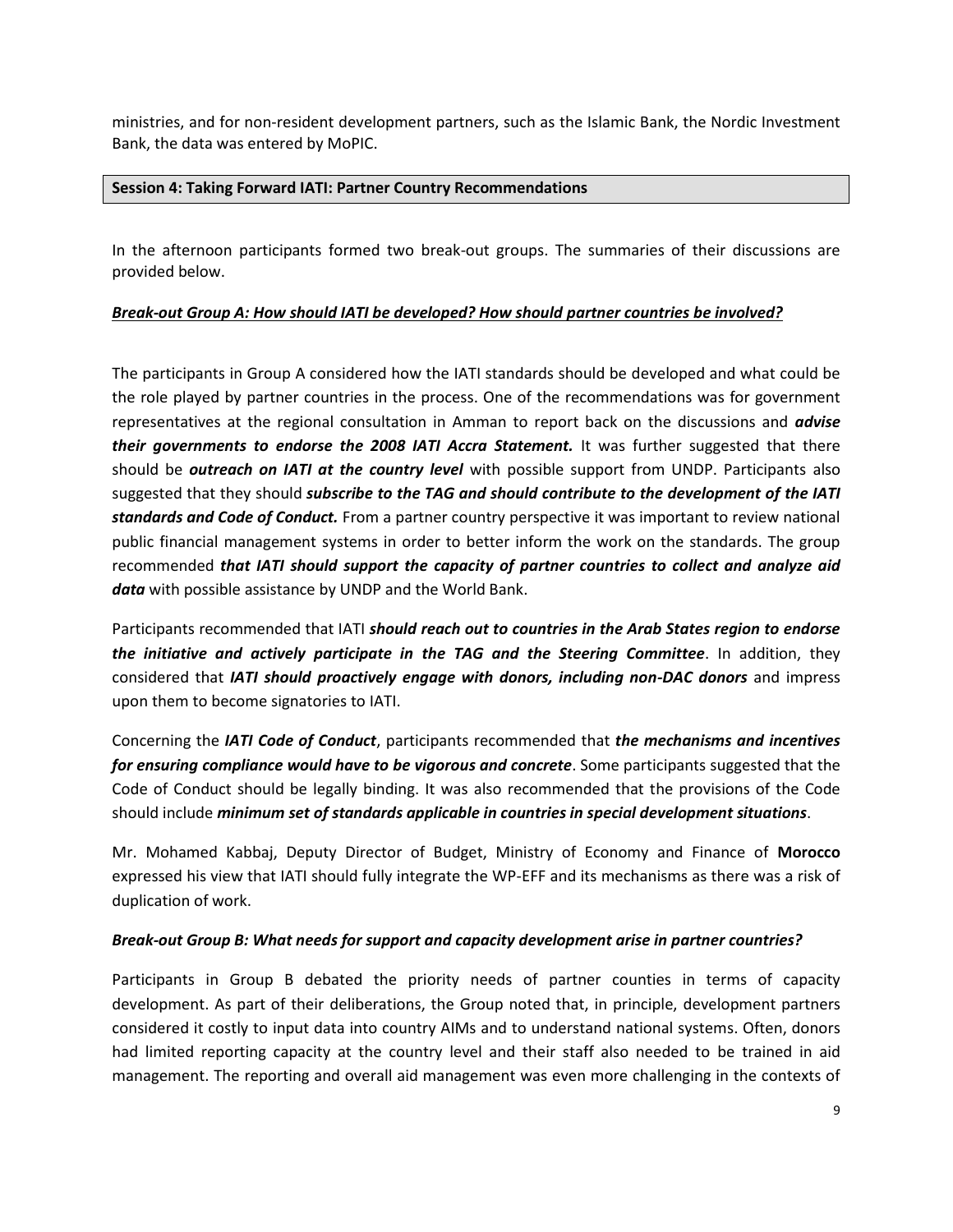ministries, and for non-resident development partners, such as the Islamic Bank, the Nordic Investment Bank, the data was entered by MoPIC.

#### **Session 4: Taking Forward IATI: Partner Country Recommendations**

In the afternoon participants formed two break-out groups. The summaries of their discussions are provided below.

#### *Break-out Group A: How should IATI be developed? How should partner countries be involved?*

The participants in Group A considered how the IATI standards should be developed and what could be the role played by partner countries in the process. One of the recommendations was for government representatives at the regional consultation in Amman to report back on the discussions and *advise their governments to endorse the 2008 IATI Accra Statement.* It was further suggested that there should be *outreach on IATI at the country level* with possible support from UNDP. Participants also suggested that they should *subscribe to the TAG and should contribute to the development of the IATI standards and Code of Conduct.* From a partner country perspective it was important to review national public financial management systems in order to better inform the work on the standards. The group recommended *that IATI should support the capacity of partner countries to collect and analyze aid data* with possible assistance by UNDP and the World Bank.

Participants recommended that IATI *should reach out to countries in the Arab States region to endorse the initiative and actively participate in the TAG and the Steering Committee*. In addition, they considered that *IATI should proactively engage with donors, including non-DAC donors* and impress upon them to become signatories to IATI.

Concerning the *IATI Code of Conduct*, participants recommended that *the mechanisms and incentives for ensuring compliance would have to be vigorous and concrete*. Some participants suggested that the Code of Conduct should be legally binding. It was also recommended that the provisions of the Code should include *minimum set of standards applicable in countries in special development situations*.

Mr. Mohamed Kabbaj, Deputy Director of Budget, Ministry of Economy and Finance of **Morocco**  expressed his view that IATI should fully integrate the WP-EFF and its mechanisms as there was a risk of duplication of work.

#### *Break-out Group B: What needs for support and capacity development arise in partner countries?*

Participants in Group B debated the priority needs of partner counties in terms of capacity development. As part of their deliberations, the Group noted that, in principle, development partners considered it costly to input data into country AIMs and to understand national systems. Often, donors had limited reporting capacity at the country level and their staff also needed to be trained in aid management. The reporting and overall aid management was even more challenging in the contexts of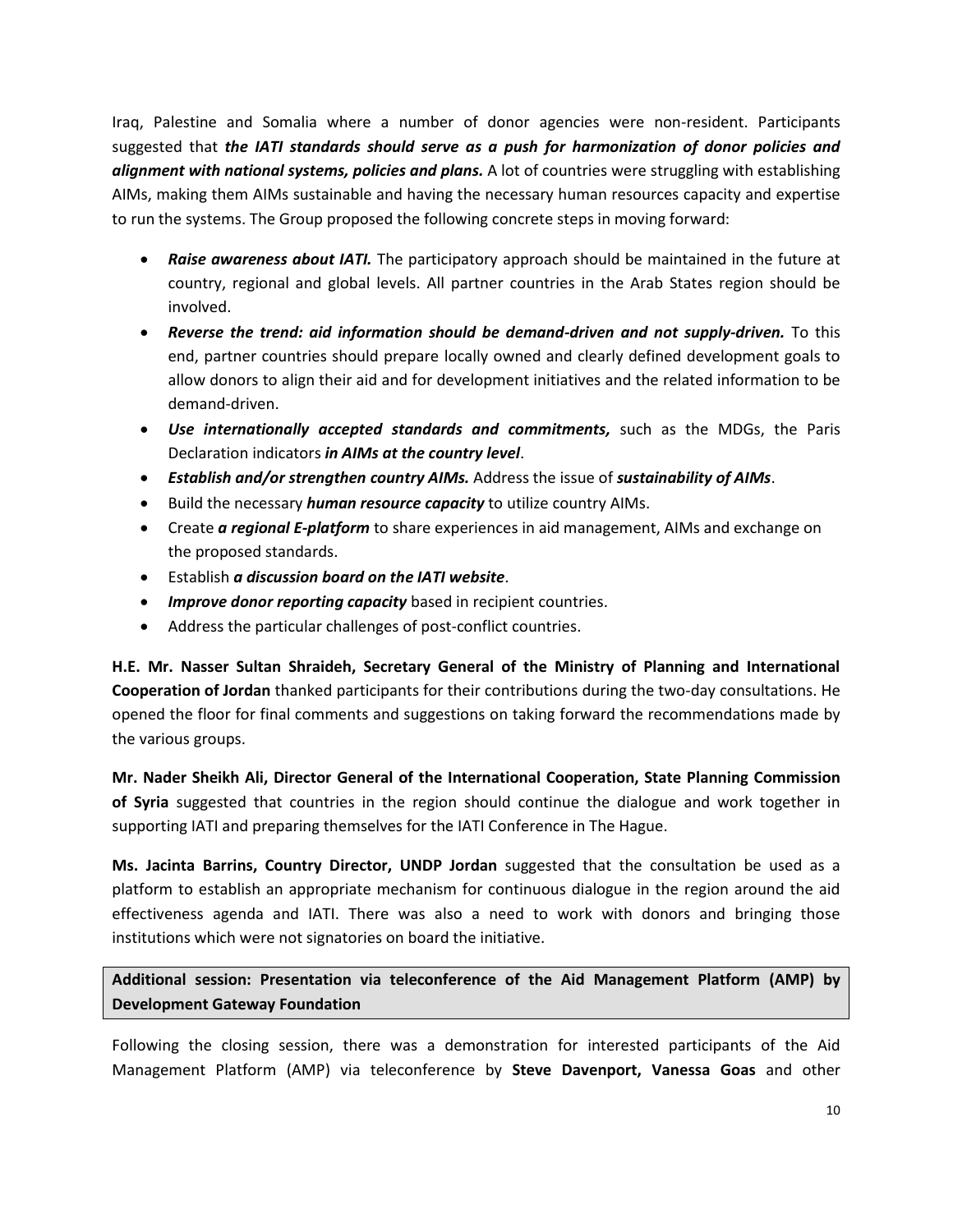Iraq, Palestine and Somalia where a number of donor agencies were non-resident. Participants suggested that *the IATI standards should serve as a push for harmonization of donor policies and alignment with national systems, policies and plans.* A lot of countries were struggling with establishing AIMs, making them AIMs sustainable and having the necessary human resources capacity and expertise to run the systems. The Group proposed the following concrete steps in moving forward:

- *Raise awareness about IATI.* The participatory approach should be maintained in the future at country, regional and global levels. All partner countries in the Arab States region should be involved.
- *Reverse the trend: aid information should be demand-driven and not supply-driven.* To this end, partner countries should prepare locally owned and clearly defined development goals to allow donors to align their aid and for development initiatives and the related information to be demand-driven.
- *Use internationally accepted standards and commitments,* such as the MDGs, the Paris Declaration indicators *in AIMs at the country level*.
- *Establish and/or strengthen country AIMs.* Address the issue of *sustainability of AIMs*.
- Build the necessary *human resource capacity* to utilize country AIMs.
- Create *a regional E-platform* to share experiences in aid management, AIMs and exchange on the proposed standards.
- Establish *a discussion board on the IATI website*.
- *Improve donor reporting capacity* based in recipient countries.
- Address the particular challenges of post-conflict countries.

**H.E. Mr. Nasser Sultan Shraideh, Secretary General of the Ministry of Planning and International Cooperation of Jordan** thanked participants for their contributions during the two-day consultations. He opened the floor for final comments and suggestions on taking forward the recommendations made by the various groups.

**Mr. Nader Sheikh Ali, Director General of the International Cooperation, State Planning Commission of Syria** suggested that countries in the region should continue the dialogue and work together in supporting IATI and preparing themselves for the IATI Conference in The Hague.

**Ms. Jacinta Barrins, Country Director, UNDP Jordan** suggested that the consultation be used as a platform to establish an appropriate mechanism for continuous dialogue in the region around the aid effectiveness agenda and IATI. There was also a need to work with donors and bringing those institutions which were not signatories on board the initiative.

**Additional session: Presentation via teleconference of the Aid Management Platform (AMP) by Development Gateway Foundation** 

Following the closing session, there was a demonstration for interested participants of the Aid Management Platform (AMP) via teleconference by **Steve Davenport, Vanessa Goas** and other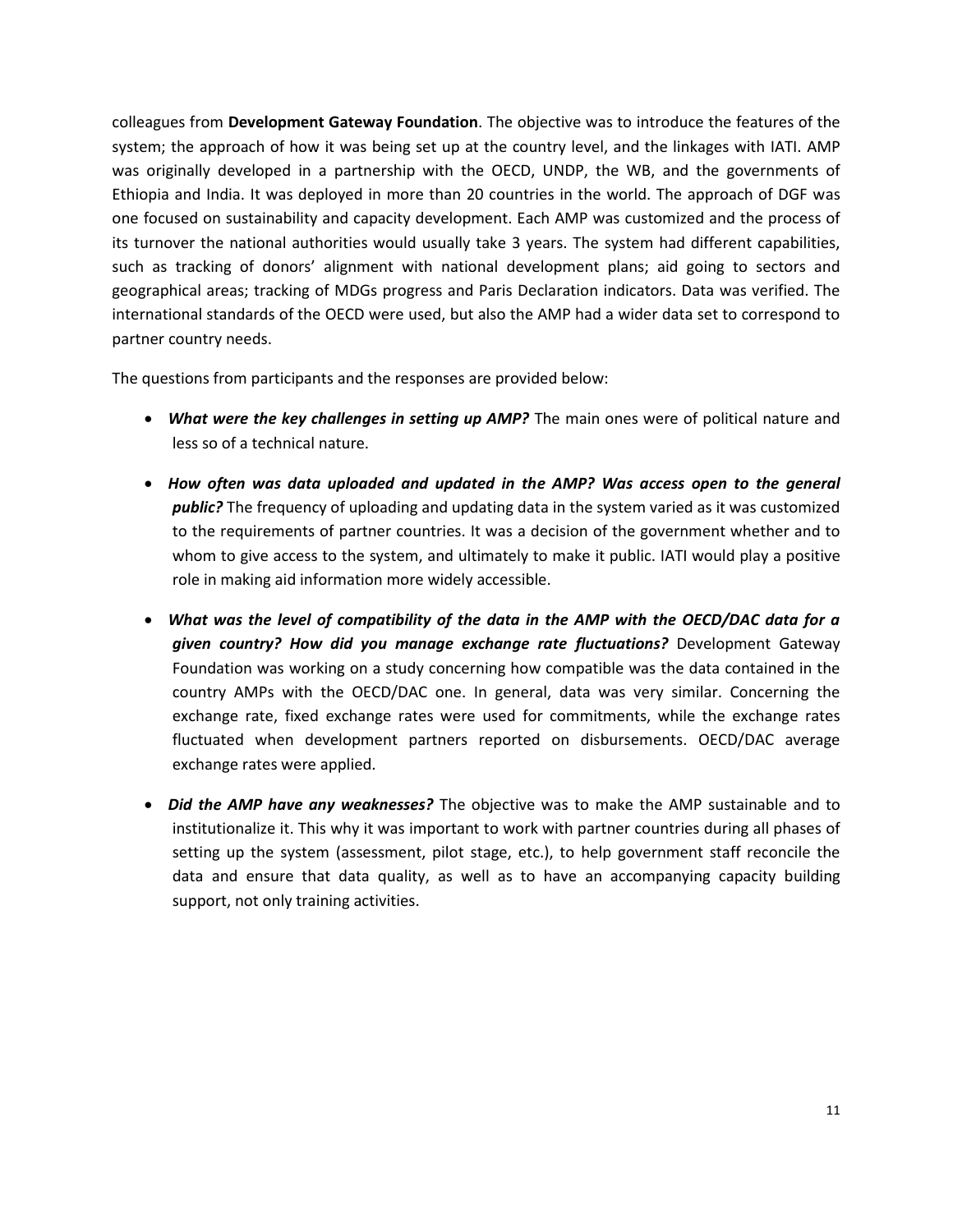colleagues from **Development Gateway Foundation**. The objective was to introduce the features of the system; the approach of how it was being set up at the country level, and the linkages with IATI. AMP was originally developed in a partnership with the OECD, UNDP, the WB, and the governments of Ethiopia and India. It was deployed in more than 20 countries in the world. The approach of DGF was one focused on sustainability and capacity development. Each AMP was customized and the process of its turnover the national authorities would usually take 3 years. The system had different capabilities, such as tracking of donors' alignment with national development plans; aid going to sectors and geographical areas; tracking of MDGs progress and Paris Declaration indicators. Data was verified. The international standards of the OECD were used, but also the AMP had a wider data set to correspond to partner country needs.

The questions from participants and the responses are provided below:

- *What were the key challenges in setting up AMP?* The main ones were of political nature and less so of a technical nature.
- *How often was data uploaded and updated in the AMP? Was access open to the general public?* The frequency of uploading and updating data in the system varied as it was customized to the requirements of partner countries. It was a decision of the government whether and to whom to give access to the system, and ultimately to make it public. IATI would play a positive role in making aid information more widely accessible.
- *What was the level of compatibility of the data in the AMP with the OECD/DAC data for a given country? How did you manage exchange rate fluctuations?* Development Gateway Foundation was working on a study concerning how compatible was the data contained in the country AMPs with the OECD/DAC one. In general, data was very similar. Concerning the exchange rate, fixed exchange rates were used for commitments, while the exchange rates fluctuated when development partners reported on disbursements. OECD/DAC average exchange rates were applied.
- *Did the AMP have any weaknesses?* The objective was to make the AMP sustainable and to institutionalize it. This why it was important to work with partner countries during all phases of setting up the system (assessment, pilot stage, etc.), to help government staff reconcile the data and ensure that data quality, as well as to have an accompanying capacity building support, not only training activities.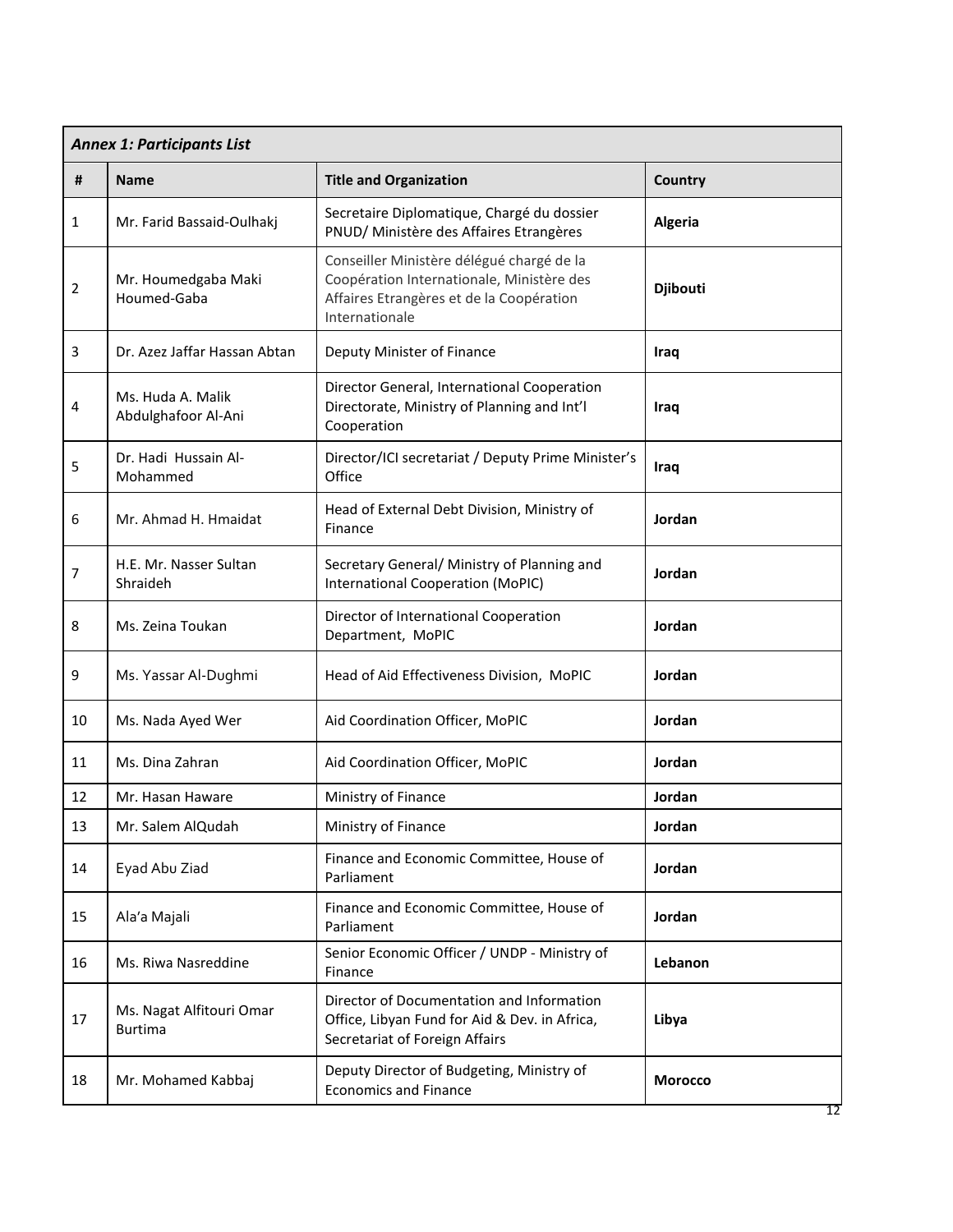| <b>Annex 1: Participants List</b> |                                            |                                                                                                                                                      |                 |
|-----------------------------------|--------------------------------------------|------------------------------------------------------------------------------------------------------------------------------------------------------|-----------------|
| #                                 | <b>Name</b>                                | <b>Title and Organization</b>                                                                                                                        | Country         |
| $\mathbf{1}$                      | Mr. Farid Bassaid-Oulhakj                  | Secretaire Diplomatique, Chargé du dossier<br>PNUD/ Ministère des Affaires Etrangères                                                                | Algeria         |
| $\overline{2}$                    | Mr. Houmedgaba Maki<br>Houmed-Gaba         | Conseiller Ministère délégué chargé de la<br>Coopération Internationale, Ministère des<br>Affaires Etrangères et de la Coopération<br>Internationale | <b>Djibouti</b> |
| 3                                 | Dr. Azez Jaffar Hassan Abtan               | Deputy Minister of Finance                                                                                                                           | Iraq            |
| 4                                 | Ms. Huda A. Malik<br>Abdulghafoor Al-Ani   | Director General, International Cooperation<br>Directorate, Ministry of Planning and Int'l<br>Cooperation                                            | Iraq            |
| 5                                 | Dr. Hadi Hussain Al-<br>Mohammed           | Director/ICI secretariat / Deputy Prime Minister's<br>Office                                                                                         | Iraq            |
| 6                                 | Mr. Ahmad H. Hmaidat                       | Head of External Debt Division, Ministry of<br>Finance                                                                                               | Jordan          |
| 7                                 | H.E. Mr. Nasser Sultan<br>Shraideh         | Secretary General/ Ministry of Planning and<br><b>International Cooperation (MoPIC)</b>                                                              | Jordan          |
| 8                                 | Ms. Zeina Toukan                           | Director of International Cooperation<br>Department, MoPIC                                                                                           | Jordan          |
| 9                                 | Ms. Yassar Al-Dughmi                       | Head of Aid Effectiveness Division, MoPIC                                                                                                            | Jordan          |
| 10                                | Ms. Nada Ayed Wer                          | Aid Coordination Officer, MoPIC                                                                                                                      | Jordan          |
| 11                                | Ms. Dina Zahran                            | Aid Coordination Officer, MoPIC                                                                                                                      | Jordan          |
| 12                                | Mr. Hasan Haware                           | Ministry of Finance                                                                                                                                  | Jordan          |
| 13                                | Mr. Salem AlQudah                          | Ministry of Finance                                                                                                                                  | Jordan          |
| 14                                | Eyad Abu Ziad                              | Finance and Economic Committee, House of<br>Parliament                                                                                               | Jordan          |
| 15                                | Ala'a Majali                               | Finance and Economic Committee, House of<br>Parliament                                                                                               | Jordan          |
| 16                                | Ms. Riwa Nasreddine                        | Senior Economic Officer / UNDP - Ministry of<br>Finance                                                                                              | Lebanon         |
| 17                                | Ms. Nagat Alfitouri Omar<br><b>Burtima</b> | Director of Documentation and Information<br>Office, Libyan Fund for Aid & Dev. in Africa,<br>Secretariat of Foreign Affairs                         | Libya           |
| 18                                | Mr. Mohamed Kabbaj                         | Deputy Director of Budgeting, Ministry of<br><b>Economics and Finance</b>                                                                            | <b>Morocco</b>  |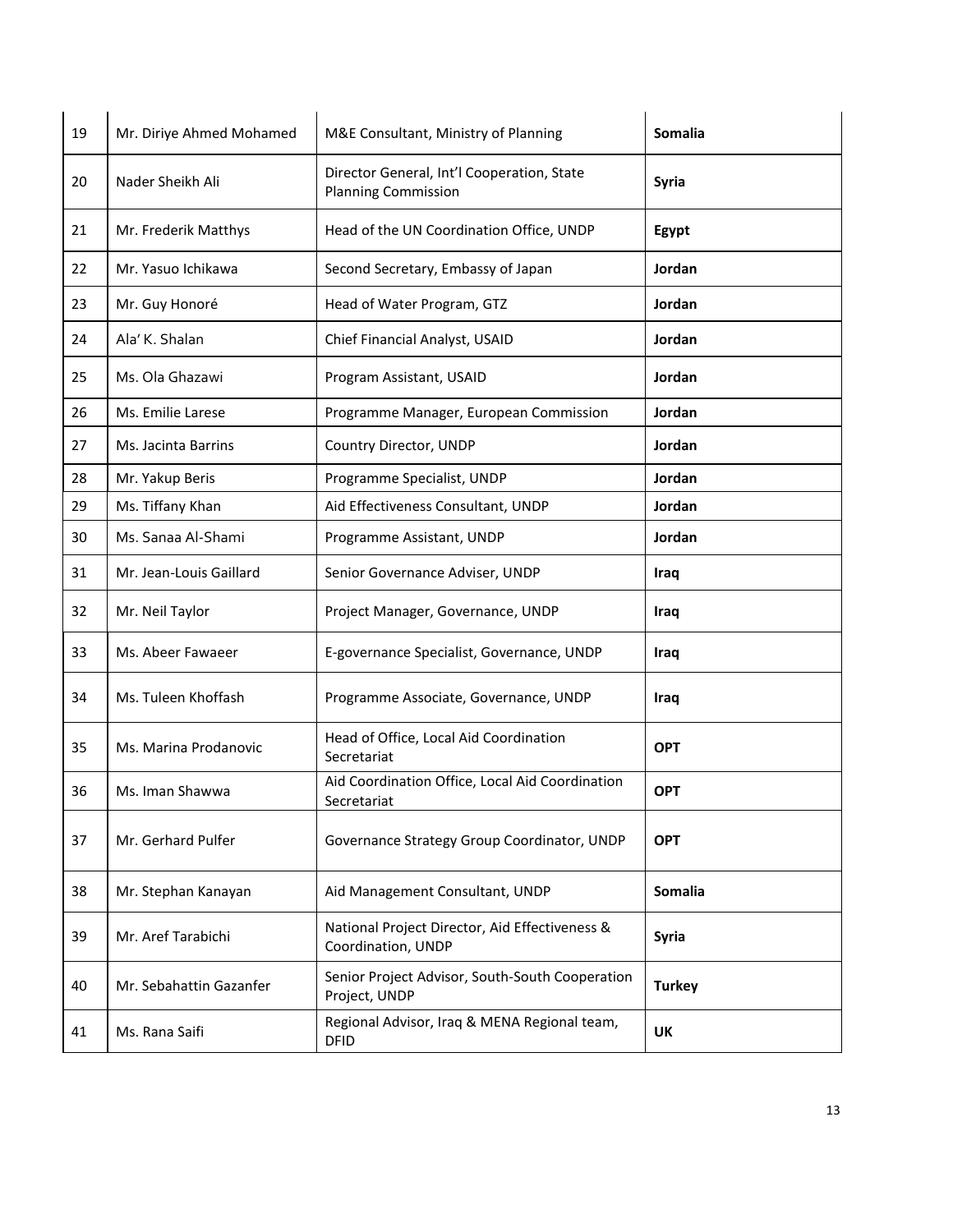| 19 | Mr. Diriye Ahmed Mohamed | M&E Consultant, Ministry of Planning                                     | Somalia       |
|----|--------------------------|--------------------------------------------------------------------------|---------------|
| 20 | Nader Sheikh Ali         | Director General, Int'l Cooperation, State<br><b>Planning Commission</b> | <b>Syria</b>  |
| 21 | Mr. Frederik Matthys     | Head of the UN Coordination Office, UNDP                                 | Egypt         |
| 22 | Mr. Yasuo Ichikawa       | Second Secretary, Embassy of Japan                                       | Jordan        |
| 23 | Mr. Guy Honoré           | Head of Water Program, GTZ                                               | Jordan        |
| 24 | Ala' K. Shalan           | Chief Financial Analyst, USAID                                           | Jordan        |
| 25 | Ms. Ola Ghazawi          | Program Assistant, USAID                                                 | Jordan        |
| 26 | Ms. Emilie Larese        | Programme Manager, European Commission                                   | Jordan        |
| 27 | Ms. Jacinta Barrins      | Country Director, UNDP                                                   | Jordan        |
| 28 | Mr. Yakup Beris          | Programme Specialist, UNDP                                               | Jordan        |
| 29 | Ms. Tiffany Khan         | Aid Effectiveness Consultant, UNDP                                       | Jordan        |
| 30 | Ms. Sanaa Al-Shami       | Programme Assistant, UNDP                                                | Jordan        |
| 31 | Mr. Jean-Louis Gaillard  | Senior Governance Adviser, UNDP                                          | Iraq          |
| 32 | Mr. Neil Taylor          | Project Manager, Governance, UNDP                                        | <b>Iraq</b>   |
| 33 | Ms. Abeer Fawaeer        | E-governance Specialist, Governance, UNDP                                | Iraq          |
| 34 | Ms. Tuleen Khoffash      | Programme Associate, Governance, UNDP                                    | <b>Iraq</b>   |
| 35 | Ms. Marina Prodanovic    | Head of Office, Local Aid Coordination<br>Secretariat                    | <b>OPT</b>    |
| 36 | Ms. Iman Shawwa          | Aid Coordination Office, Local Aid Coordination<br>Secretariat           | <b>OPT</b>    |
| 37 | Mr. Gerhard Pulfer       | Governance Strategy Group Coordinator, UNDP                              | <b>OPT</b>    |
| 38 | Mr. Stephan Kanayan      | Aid Management Consultant, UNDP                                          | Somalia       |
| 39 | Mr. Aref Tarabichi       | National Project Director, Aid Effectiveness &<br>Coordination, UNDP     | Syria         |
| 40 | Mr. Sebahattin Gazanfer  | Senior Project Advisor, South-South Cooperation<br>Project, UNDP         | <b>Turkey</b> |
| 41 | Ms. Rana Saifi           | Regional Advisor, Iraq & MENA Regional team,<br><b>DFID</b>              | UK            |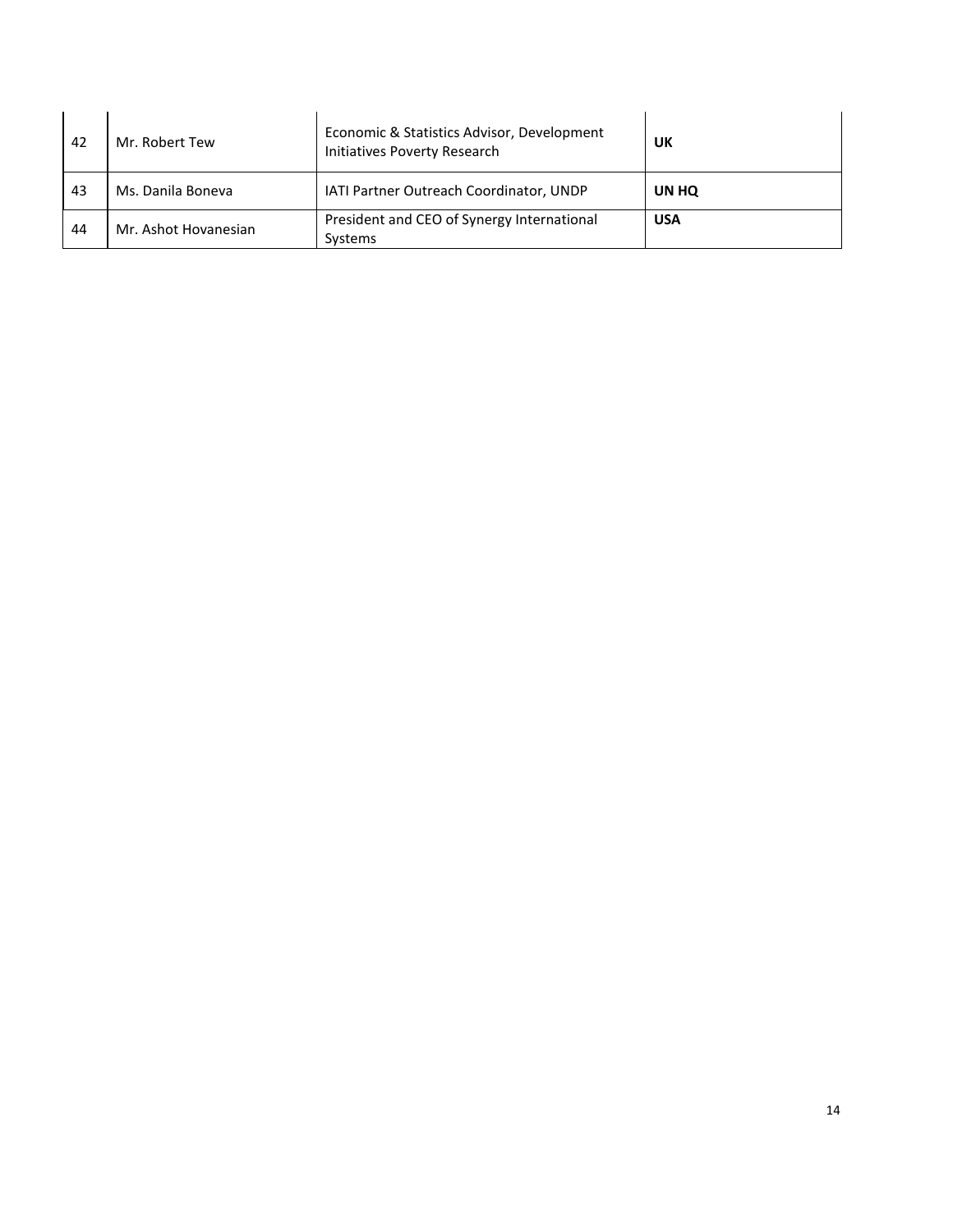| 42 | Mr. Robert Tew       | Economic & Statistics Advisor, Development<br>Initiatives Poverty Research | UK         |
|----|----------------------|----------------------------------------------------------------------------|------------|
| 43 | Ms. Danila Boneva    | <b>IATI Partner Outreach Coordinator, UNDP</b>                             | UN HQ      |
| 44 | Mr. Ashot Hovanesian | President and CEO of Synergy International<br>Systems                      | <b>USA</b> |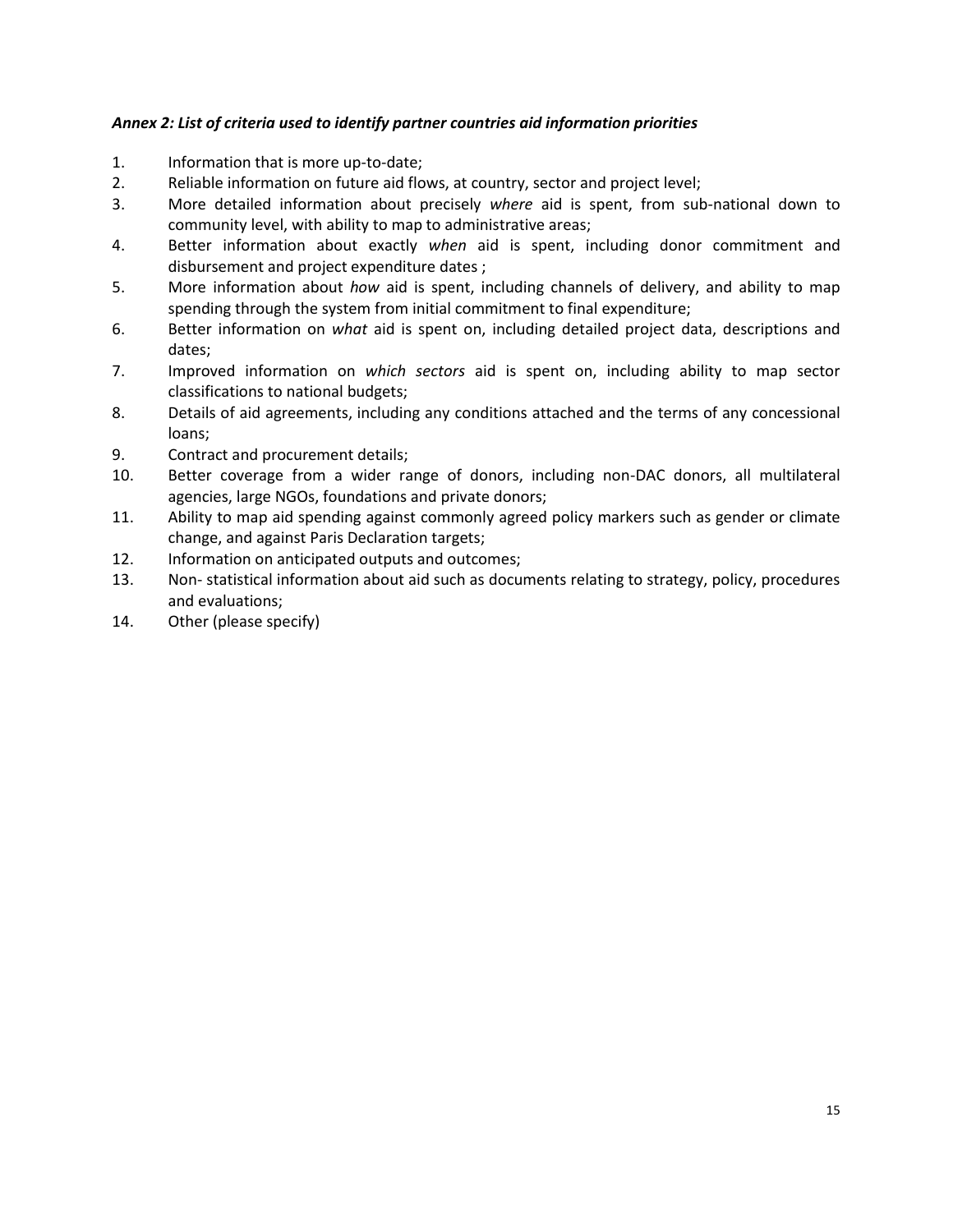### *Annex 2: List of criteria used to identify partner countries aid information priorities*

- 1. Information that is more up-to-date;
- 2. Reliable information on future aid flows, at country, sector and project level;
- 3. More detailed information about precisely *where* aid is spent, from sub-national down to community level, with ability to map to administrative areas;
- 4. Better information about exactly *when* aid is spent, including donor commitment and disbursement and project expenditure dates ;
- 5. More information about *how* aid is spent, including channels of delivery, and ability to map spending through the system from initial commitment to final expenditure;
- 6. Better information on *what* aid is spent on, including detailed project data, descriptions and dates;
- 7. Improved information on *which sectors* aid is spent on, including ability to map sector classifications to national budgets;
- 8. Details of aid agreements, including any conditions attached and the terms of any concessional loans;
- 9. Contract and procurement details;
- 10. Better coverage from a wider range of donors, including non-DAC donors, all multilateral agencies, large NGOs, foundations and private donors;
- 11. Ability to map aid spending against commonly agreed policy markers such as gender or climate change, and against Paris Declaration targets;
- 12. Information on anticipated outputs and outcomes;
- 13. Non- statistical information about aid such as documents relating to strategy, policy, procedures and evaluations;
- 14. Other (please specify)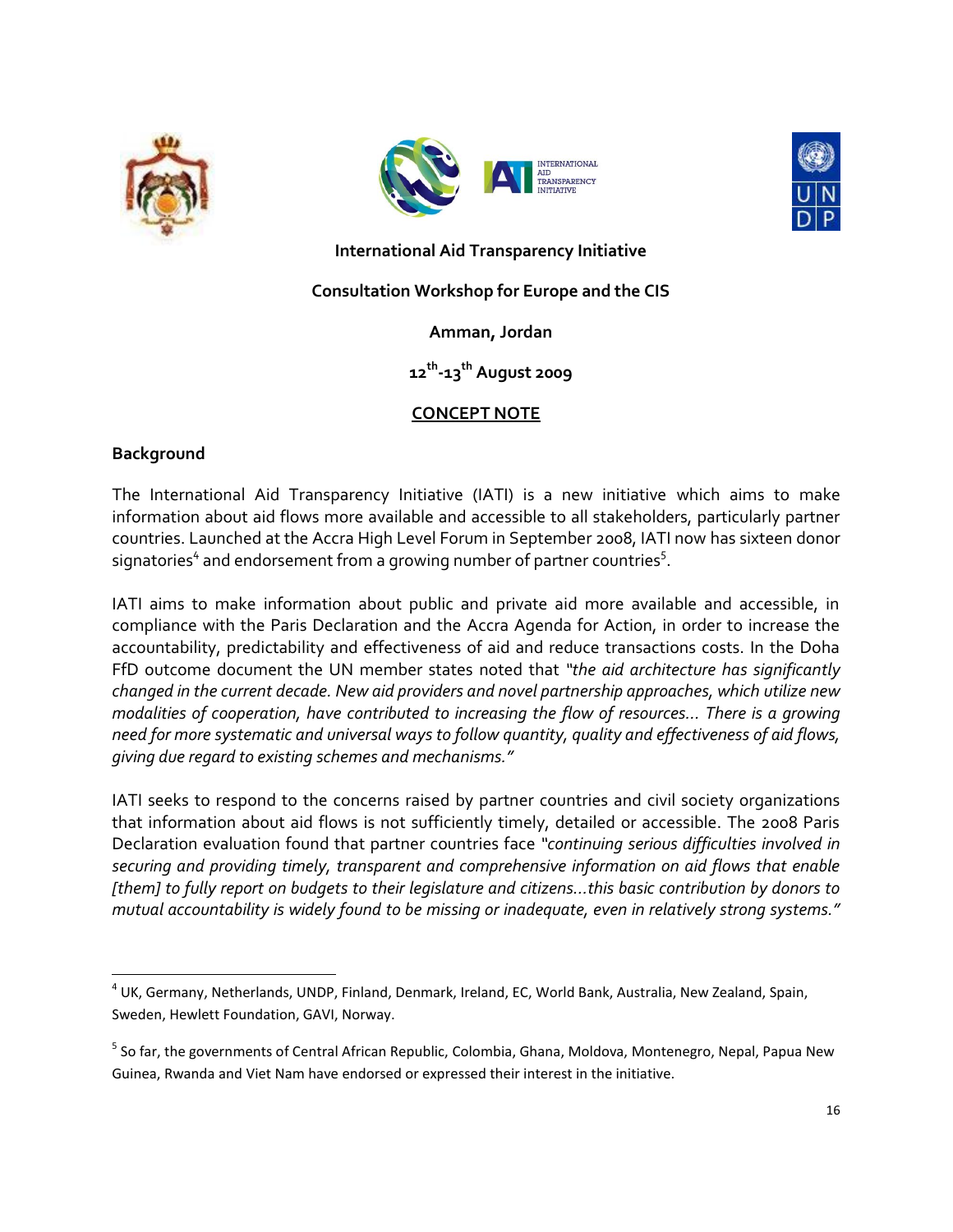





**International Aid Transparency Initiative**

## **Consultation Workshop for Europe and the CIS**

### **Amman, Jordan**

# **12th -13th August 2009**

# **CONCEPT NOTE**

### **Background**

The International Aid Transparency Initiative (IATI) is a new initiative which aims to make information about aid flows more available and accessible to all stakeholders, particularly partner countries. Launched at the Accra High Level Forum in September 2008, IATI now has sixteen donor signatories $^4$  and endorsement from a growing number of partner countries $^5$ .

IATI aims to make information about public and private aid more available and accessible, in compliance with the Paris Declaration and the Accra Agenda for Action, in order to increase the accountability, predictability and effectiveness of aid and reduce transactions costs. In the Doha FfD outcome document the UN member states noted that *"the aid architecture has significantly changed in the current decade. New aid providers and novel partnership approaches, which utilize new modalities of cooperation, have contributed to increasing the flow of resources… There is a growing need for more systematic and universal ways to follow quantity, quality and effectiveness of aid flows, giving due regard to existing schemes and mechanisms."*

IATI seeks to respond to the concerns raised by partner countries and civil society organizations that information about aid flows is not sufficiently timely, detailed or accessible. The 2008 Paris Declaration evaluation found that partner countries face *"continuing serious difficulties involved in securing and providing timely, transparent and comprehensive information on aid flows that enable [them] to fully report on budgets to their legislature and citizens…this basic contribution by donors to mutual accountability is widely found to be missing or inadequate, even in relatively strong systems."* 

 $\overline{a}$ 4 UK, Germany, Netherlands, UNDP, Finland, Denmark, Ireland, EC, World Bank, Australia, New Zealand, Spain, Sweden, Hewlett Foundation, GAVI, Norway.

<sup>&</sup>lt;sup>5</sup> So far, the governments of Central African Republic, Colombia, Ghana, Moldova, Montenegro, Nepal, Papua New Guinea, Rwanda and Viet Nam have endorsed or expressed their interest in the initiative.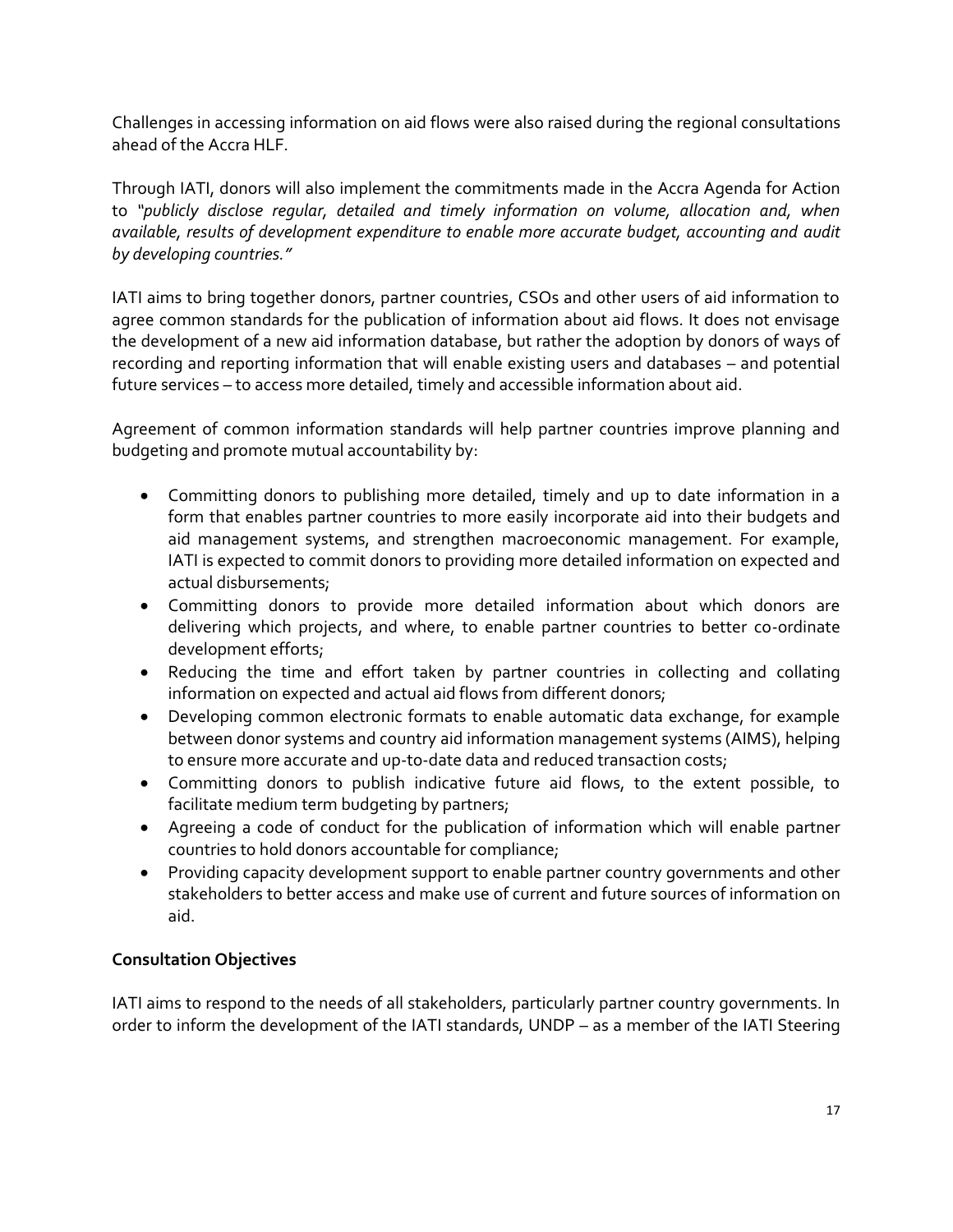Challenges in accessing information on aid flows were also raised during the regional consultations ahead of the Accra HLF.

Through IATI, donors will also implement the commitments made in the Accra Agenda for Action to *"publicly disclose regular, detailed and timely information on volume, allocation and, when available, results of development expenditure to enable more accurate budget, accounting and audit by developing countries."*

IATI aims to bring together donors, partner countries, CSOs and other users of aid information to agree common standards for the publication of information about aid flows. It does not envisage the development of a new aid information database, but rather the adoption by donors of ways of recording and reporting information that will enable existing users and databases – and potential future services – to access more detailed, timely and accessible information about aid.

Agreement of common information standards will help partner countries improve planning and budgeting and promote mutual accountability by:

- Committing donors to publishing more detailed, timely and up to date information in a form that enables partner countries to more easily incorporate aid into their budgets and aid management systems, and strengthen macroeconomic management. For example, IATI is expected to commit donors to providing more detailed information on expected and actual disbursements;
- Committing donors to provide more detailed information about which donors are delivering which projects, and where, to enable partner countries to better co-ordinate development efforts;
- Reducing the time and effort taken by partner countries in collecting and collating information on expected and actual aid flows from different donors;
- Developing common electronic formats to enable automatic data exchange, for example between donor systems and country aid information management systems (AIMS), helping to ensure more accurate and up-to-date data and reduced transaction costs;
- Committing donors to publish indicative future aid flows, to the extent possible, to facilitate medium term budgeting by partners;
- Agreeing a code of conduct for the publication of information which will enable partner countries to hold donors accountable for compliance;
- Providing capacity development support to enable partner country governments and other stakeholders to better access and make use of current and future sources of information on aid.

### **Consultation Objectives**

IATI aims to respond to the needs of all stakeholders, particularly partner country governments. In order to inform the development of the IATI standards, UNDP – as a member of the IATI Steering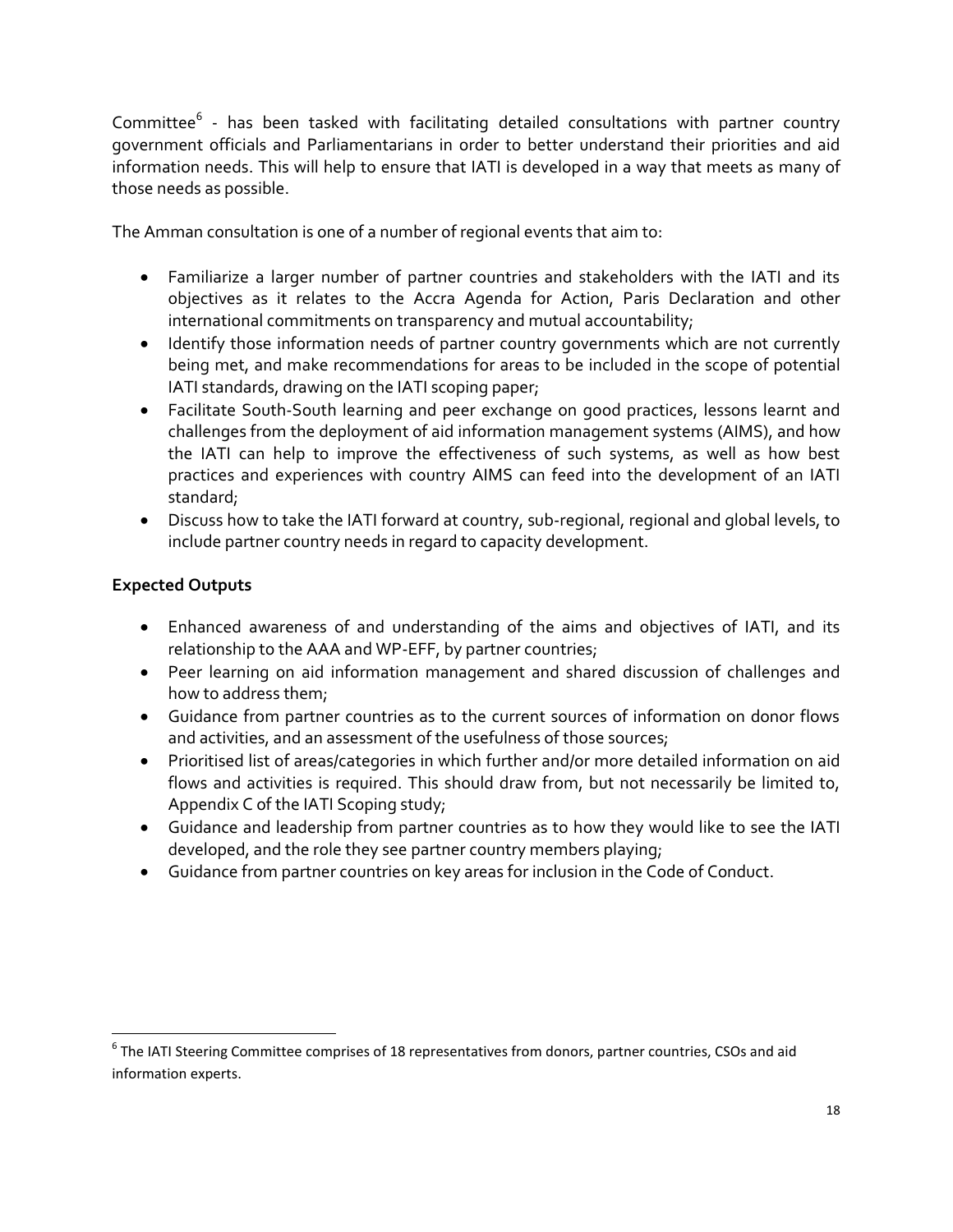Committee<sup>6</sup> - has been tasked with facilitating detailed consultations with partner country government officials and Parliamentarians in order to better understand their priorities and aid information needs. This will help to ensure that IATI is developed in a way that meets as many of those needs as possible.

The Amman consultation is one of a number of regional events that aim to:

- Familiarize a larger number of partner countries and stakeholders with the IATI and its objectives as it relates to the Accra Agenda for Action, Paris Declaration and other international commitments on transparency and mutual accountability;
- Identify those information needs of partner country governments which are not currently being met, and make recommendations for areas to be included in the scope of potential IATI standards, drawing on the IATI scoping paper;
- Facilitate South-South learning and peer exchange on good practices, lessons learnt and challenges from the deployment of aid information management systems (AIMS), and how the IATI can help to improve the effectiveness of such systems, as well as how best practices and experiences with country AIMS can feed into the development of an IATI standard;
- Discuss how to take the IATI forward at country, sub-regional, regional and global levels, to include partner country needs in regard to capacity development.

# **Expected Outputs**

 $\overline{\phantom{a}}$ 

- Enhanced awareness of and understanding of the aims and objectives of IATI, and its relationship to the AAA and WP-EFF, by partner countries;
- Peer learning on aid information management and shared discussion of challenges and how to address them;
- Guidance from partner countries as to the current sources of information on donor flows and activities, and an assessment of the usefulness of those sources;
- Prioritised list of areas/categories in which further and/or more detailed information on aid flows and activities is required. This should draw from, but not necessarily be limited to, Appendix C of the IATI Scoping study;
- Guidance and leadership from partner countries as to how they would like to see the IATI developed, and the role they see partner country members playing;
- Guidance from partner countries on key areas for inclusion in the Code of Conduct.

 $^6$  The IATI Steering Committee comprises of 18 representatives from donors, partner countries, CSOs and aid information experts.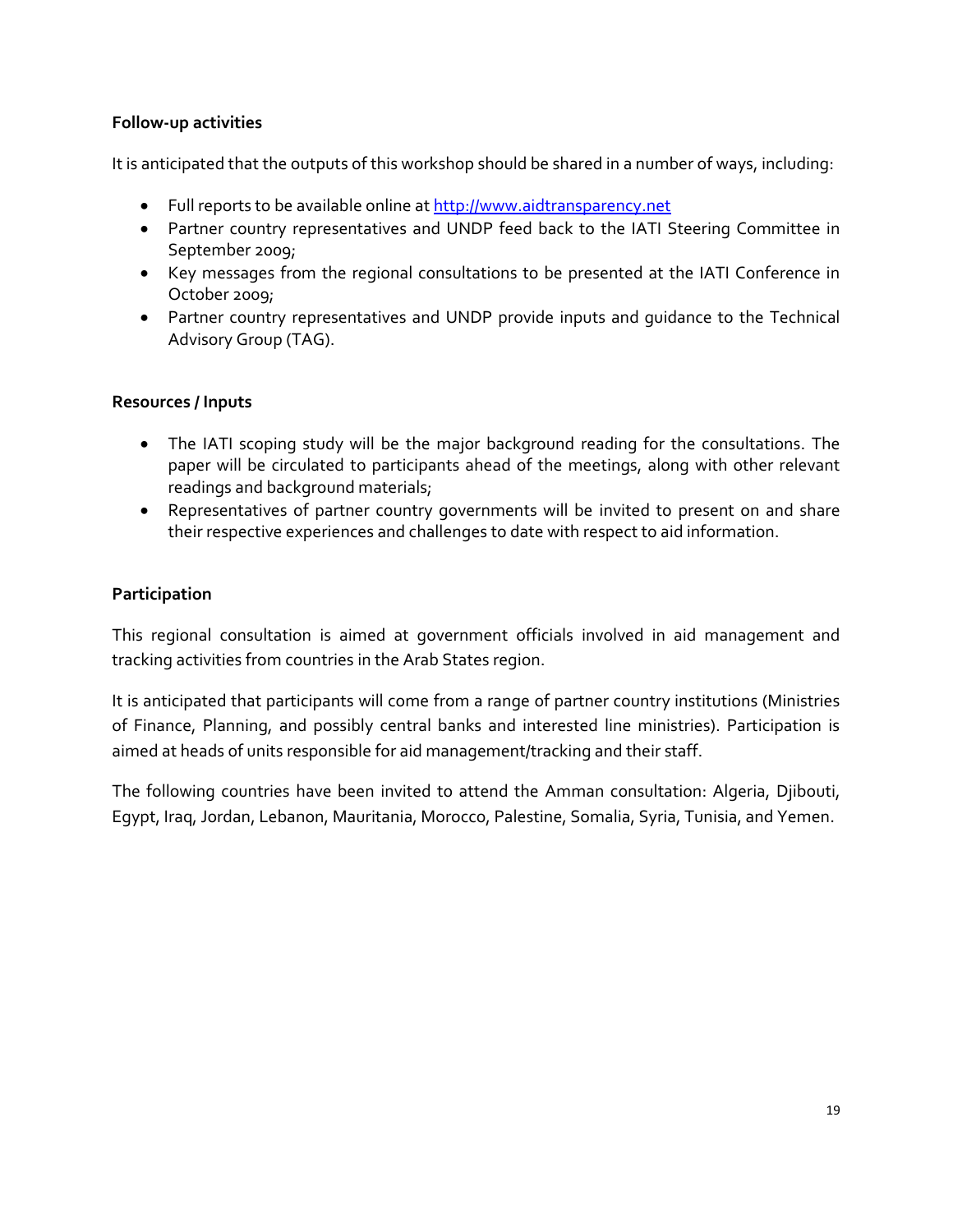### **Follow-up activities**

It is anticipated that the outputs of this workshop should be shared in a number of ways, including:

- Full reports to be available online a[t http://www.aidtransparency.net](http://www.aidtransparency.net/)
- Partner country representatives and UNDP feed back to the IATI Steering Committee in September 2009;
- Key messages from the regional consultations to be presented at the IATI Conference in October 2009;
- Partner country representatives and UNDP provide inputs and guidance to the Technical Advisory Group (TAG).

### **Resources / Inputs**

- The IATI scoping study will be the major background reading for the consultations. The paper will be circulated to participants ahead of the meetings, along with other relevant readings and background materials;
- Representatives of partner country governments will be invited to present on and share their respective experiences and challenges to date with respect to aid information.

# **Participation**

This regional consultation is aimed at government officials involved in aid management and tracking activities from countries in the Arab States region.

It is anticipated that participants will come from a range of partner country institutions (Ministries of Finance, Planning, and possibly central banks and interested line ministries). Participation is aimed at heads of units responsible for aid management/tracking and their staff.

The following countries have been invited to attend the Amman consultation: Algeria, Djibouti, Egypt, Iraq, Jordan, Lebanon, Mauritania, Morocco, Palestine, Somalia, Syria, Tunisia, and Yemen.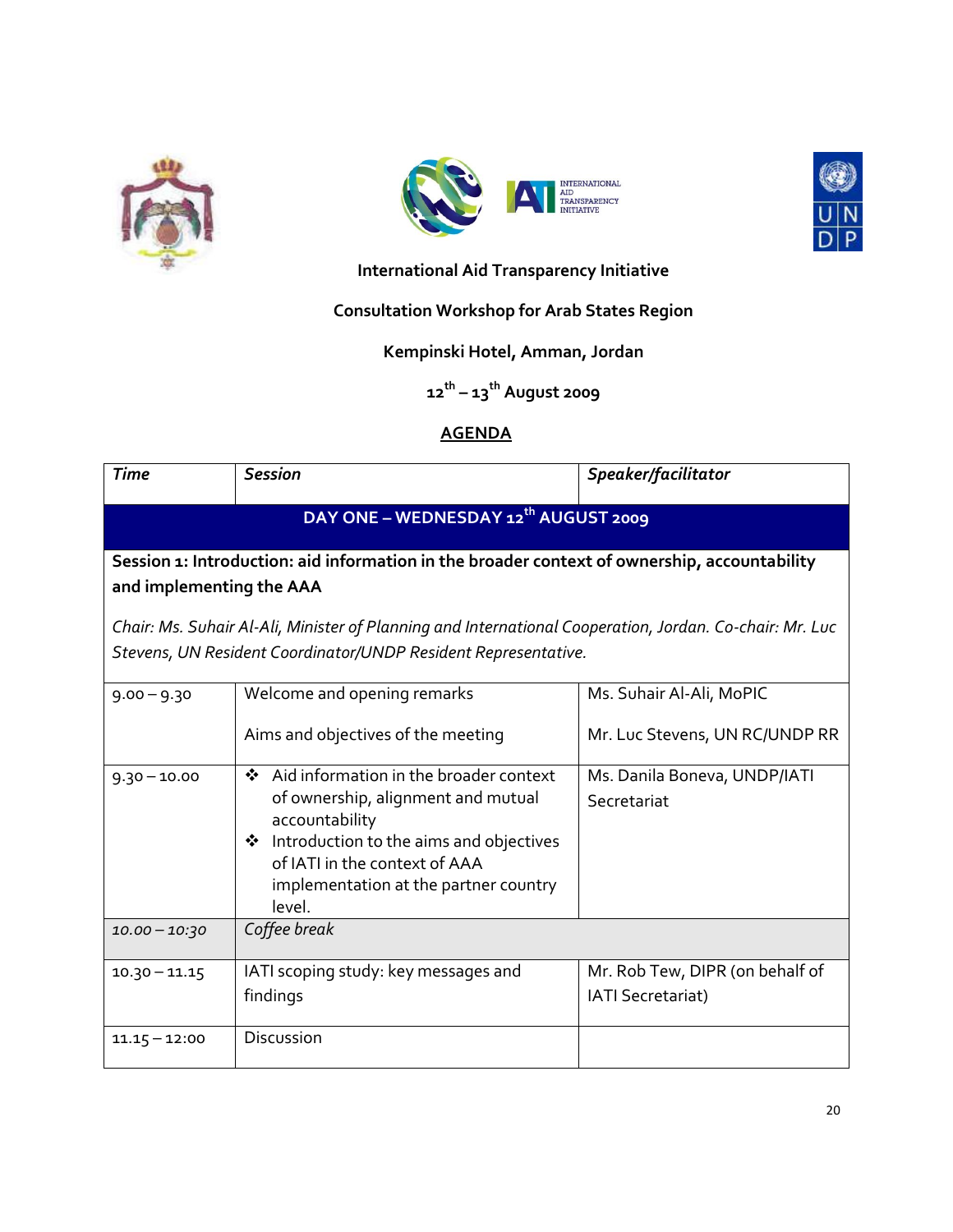





# **International Aid Transparency Initiative**

# **Consultation Workshop for Arab States Region**

### **Kempinski Hotel, Amman, Jordan**

**12th – 13th August 2009**

# **AGENDA**

| <b>Time</b>                                                                                                                                                               | <b>Session</b>                                                                                                                                                                                                                        | Speaker/facilitator                                         |
|---------------------------------------------------------------------------------------------------------------------------------------------------------------------------|---------------------------------------------------------------------------------------------------------------------------------------------------------------------------------------------------------------------------------------|-------------------------------------------------------------|
|                                                                                                                                                                           | DAY ONE - WEDNESDAY 12 <sup>th</sup> AUGUST 2009                                                                                                                                                                                      |                                                             |
| and implementing the AAA                                                                                                                                                  | Session 1: Introduction: aid information in the broader context of ownership, accountability                                                                                                                                          |                                                             |
| Chair: Ms. Suhair Al-Ali, Minister of Planning and International Cooperation, Jordan. Co-chair: Mr. Luc<br>Stevens, UN Resident Coordinator/UNDP Resident Representative. |                                                                                                                                                                                                                                       |                                                             |
| $9.00 - 9.30$                                                                                                                                                             | Welcome and opening remarks                                                                                                                                                                                                           | Ms. Suhair Al-Ali, MoPIC                                    |
|                                                                                                                                                                           | Aims and objectives of the meeting                                                                                                                                                                                                    | Mr. Luc Stevens, UN RC/UNDP RR                              |
| $9.30 - 10.00$                                                                                                                                                            | Aid information in the broader context<br>$\mathbf{A}$<br>of ownership, alignment and mutual<br>accountability<br>❖ Introduction to the aims and objectives<br>of IATI in the context of AAA<br>implementation at the partner country | Ms. Danila Boneva, UNDP/IATI<br>Secretariat                 |
|                                                                                                                                                                           | level.                                                                                                                                                                                                                                |                                                             |
| $10.00 - 10.30$                                                                                                                                                           | Coffee break                                                                                                                                                                                                                          |                                                             |
| $10.30 - 11.15$                                                                                                                                                           | IATI scoping study: key messages and<br>findings                                                                                                                                                                                      | Mr. Rob Tew, DIPR (on behalf of<br><b>IATI Secretariat)</b> |
| $11.15 - 12:00$                                                                                                                                                           | Discussion                                                                                                                                                                                                                            |                                                             |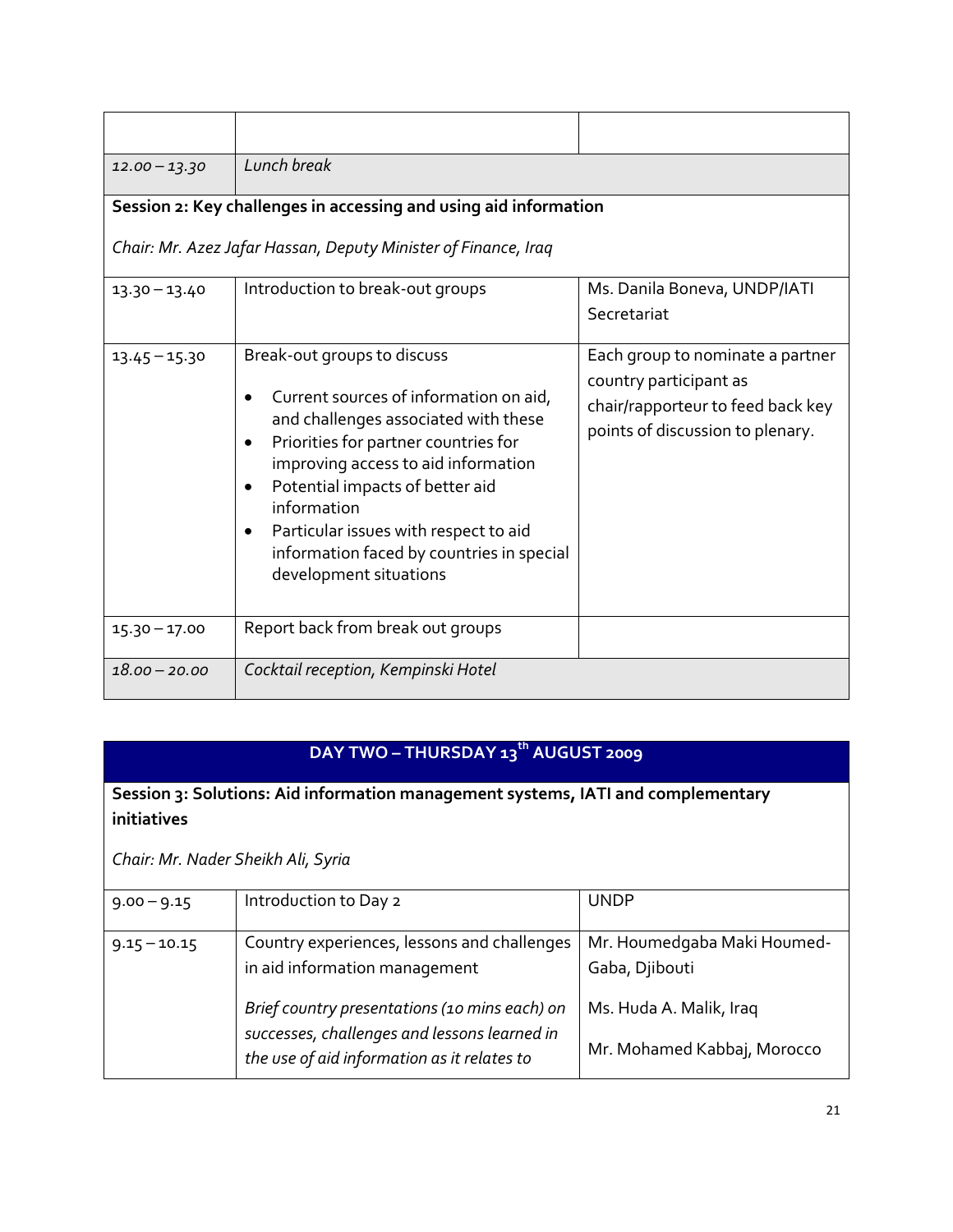| $12.00 - 13.30$ | Lunch break                                                                                                                                                                                                                                                                                                                                                                 |                                                                                                                                     |
|-----------------|-----------------------------------------------------------------------------------------------------------------------------------------------------------------------------------------------------------------------------------------------------------------------------------------------------------------------------------------------------------------------------|-------------------------------------------------------------------------------------------------------------------------------------|
|                 | Session 2: Key challenges in accessing and using aid information                                                                                                                                                                                                                                                                                                            |                                                                                                                                     |
|                 | Chair: Mr. Azez Jafar Hassan, Deputy Minister of Finance, Iraq                                                                                                                                                                                                                                                                                                              |                                                                                                                                     |
| $13.30 - 13.40$ | Introduction to break-out groups                                                                                                                                                                                                                                                                                                                                            | Ms. Danila Boneva, UNDP/IATI<br>Secretariat                                                                                         |
| $13.45 - 15.30$ | Break-out groups to discuss<br>Current sources of information on aid,<br>and challenges associated with these<br>Priorities for partner countries for<br>improving access to aid information<br>Potential impacts of better aid<br>information<br>Particular issues with respect to aid<br>$\bullet$<br>information faced by countries in special<br>development situations | Each group to nominate a partner<br>country participant as<br>chair/rapporteur to feed back key<br>points of discussion to plenary. |
| $15.30 - 17.00$ | Report back from break out groups                                                                                                                                                                                                                                                                                                                                           |                                                                                                                                     |
| $18.00 - 20.00$ | Cocktail reception, Kempinski Hotel                                                                                                                                                                                                                                                                                                                                         |                                                                                                                                     |

# **DAY TWO – THURSDAY 13th AUGUST 2009**

# **Session 3: Solutions: Aid information management systems, IATI and complementary initiatives**

*Chair: Mr. Nader Sheikh Ali, Syria*

| $9.00 - 9.15$  | Introduction to Day 2                                                                                                         | <b>UNDP</b>                                                              |
|----------------|-------------------------------------------------------------------------------------------------------------------------------|--------------------------------------------------------------------------|
| $9.15 - 10.15$ | Country experiences, lessons and challenges<br>in aid information management<br>Brief country presentations (10 mins each) on | Mr. Houmedgaba Maki Houmed-<br>Gaba, Djibouti<br>Ms. Huda A. Malik, Iraq |
|                | successes, challenges and lessons learned in<br>the use of aid information as it relates to                                   | Mr. Mohamed Kabbaj, Morocco                                              |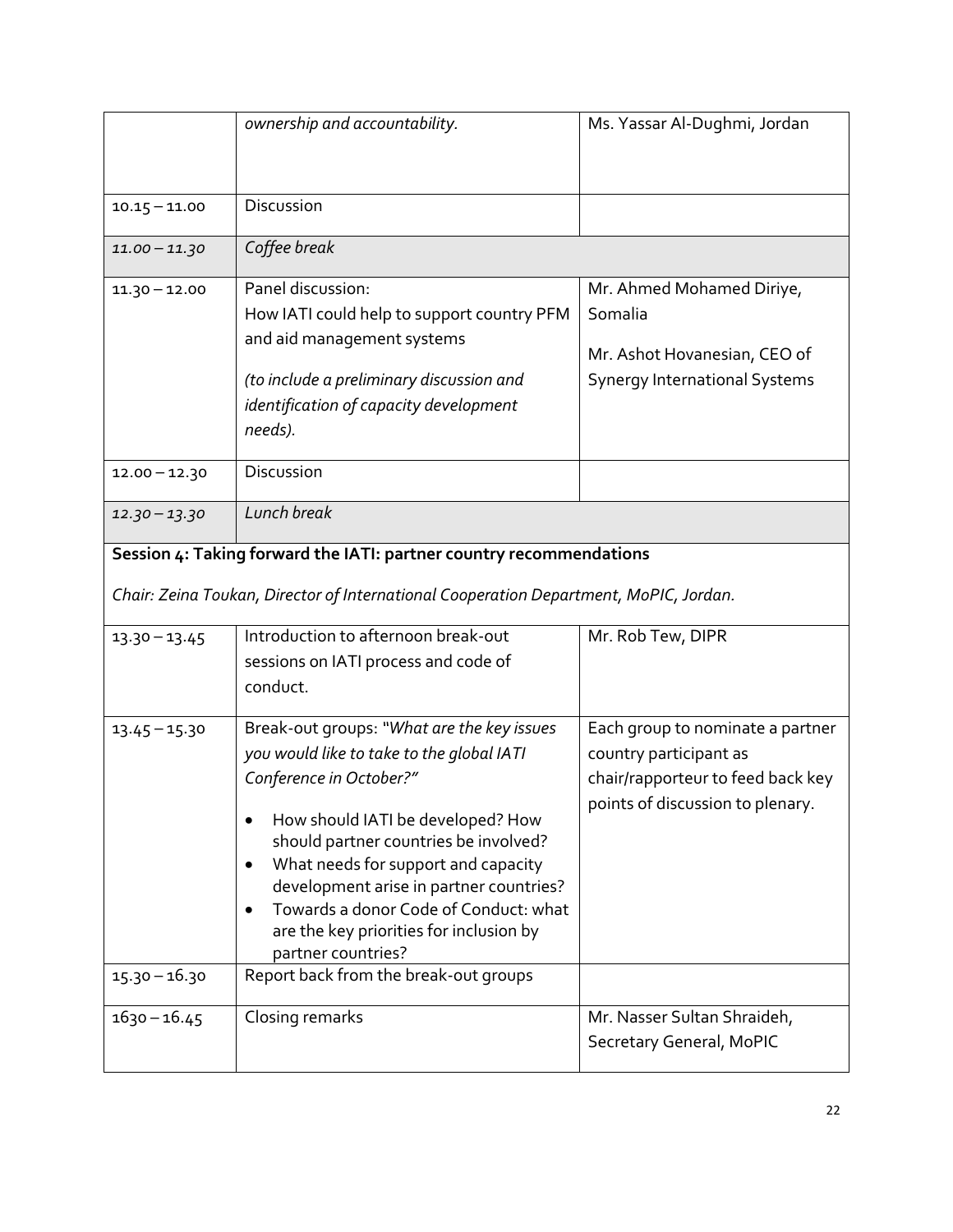|                                    | ownership and accountability.                                                                                                                                                                                                                                                                                                                                                                                                                      | Ms. Yassar Al-Dughmi, Jordan                                                                                                        |
|------------------------------------|----------------------------------------------------------------------------------------------------------------------------------------------------------------------------------------------------------------------------------------------------------------------------------------------------------------------------------------------------------------------------------------------------------------------------------------------------|-------------------------------------------------------------------------------------------------------------------------------------|
| $10.15 - 11.00$                    | Discussion                                                                                                                                                                                                                                                                                                                                                                                                                                         |                                                                                                                                     |
| $11.00 - 11.30$                    | Coffee break                                                                                                                                                                                                                                                                                                                                                                                                                                       |                                                                                                                                     |
| $11.30 - 12.00$                    | Panel discussion:<br>How IATI could help to support country PFM<br>and aid management systems<br>(to include a preliminary discussion and<br>identification of capacity development<br>needs).                                                                                                                                                                                                                                                     | Mr. Ahmed Mohamed Diriye,<br>Somalia<br>Mr. Ashot Hovanesian, CEO of<br><b>Synergy International Systems</b>                        |
| $12.00 - 12.30$                    | Discussion                                                                                                                                                                                                                                                                                                                                                                                                                                         |                                                                                                                                     |
| $12.30 - 13.30$                    | Lunch break                                                                                                                                                                                                                                                                                                                                                                                                                                        |                                                                                                                                     |
| $13.30 - 13.45$                    | Session 4: Taking forward the IATI: partner country recommendations<br>Chair: Zeina Toukan, Director of International Cooperation Department, MoPIC, Jordan.<br>Introduction to afternoon break-out<br>sessions on IATI process and code of<br>conduct.                                                                                                                                                                                            | Mr. Rob Tew, DIPR                                                                                                                   |
| $13.45 - 15.30$<br>$15.30 - 16.30$ | Break-out groups: "What are the key issues<br>you would like to take to the global IATI<br>Conference in October?"<br>How should IATI be developed? How<br>should partner countries be involved?<br>What needs for support and capacity<br>development arise in partner countries?<br>Towards a donor Code of Conduct: what<br>$\bullet$<br>are the key priorities for inclusion by<br>partner countries?<br>Report back from the break-out groups | Each group to nominate a partner<br>country participant as<br>chair/rapporteur to feed back key<br>points of discussion to plenary. |
| $1630 - 16.45$                     | Closing remarks                                                                                                                                                                                                                                                                                                                                                                                                                                    | Mr. Nasser Sultan Shraideh,<br>Secretary General, MoPIC                                                                             |